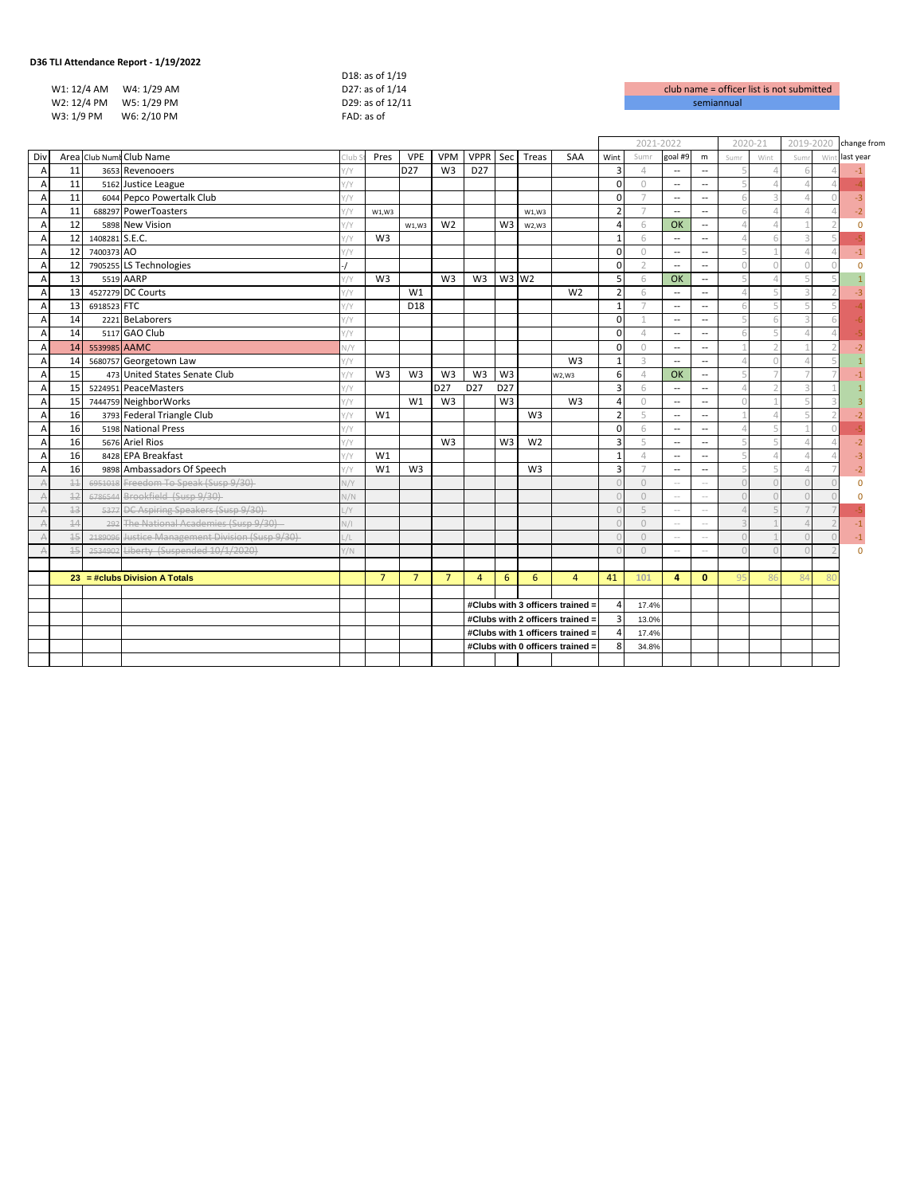| 30 TELARCHOGHCC REPORT - 1/13/2022 |                  |                    |
|------------------------------------|------------------|--------------------|
|                                    | D18: as of 1/19  |                    |
| W1: 12/4 AM<br>W4: 1/29 AM         | D27: as of 1/14  | club name = office |
| W2: 12/4 PM<br>W5: 1/29 PM         | D29: as of 12/11 | semiannual         |
| W6: 2/10 PM<br>W3: 1/9 PM          | FAD: as of       |                    |
|                                    |                  |                    |

club name = officer list is not submitted

|                |          |                |                                                 |               |                |                 |                |                 |                 |                |                                  | 2021-2022      |               | 2020-21                  |                          | 2019-2020                                                                                                                                                                                                                                                                                                                                                                                                                                                 |      | change from |                |           |
|----------------|----------|----------------|-------------------------------------------------|---------------|----------------|-----------------|----------------|-----------------|-----------------|----------------|----------------------------------|----------------|---------------|--------------------------|--------------------------|-----------------------------------------------------------------------------------------------------------------------------------------------------------------------------------------------------------------------------------------------------------------------------------------------------------------------------------------------------------------------------------------------------------------------------------------------------------|------|-------------|----------------|-----------|
| Div            |          |                | Area Club Numi Club Name                        | Club          | Pres           | <b>VPE</b>      | <b>VPM</b>     | <b>VPPR</b>     |                 | Sec Treas      | SAA                              | Wint           | Sumr          | goal #9                  | m                        | Sumr                                                                                                                                                                                                                                                                                                                                                                                                                                                      | Wint | Sum         | Win            | last year |
| $\overline{A}$ | 11       |                | 3653 Revenooers                                 | '/Y           |                | D <sub>27</sub> | W <sub>3</sub> | D <sub>27</sub> |                 |                |                                  | 3              | $\Delta$      | $\overline{\phantom{a}}$ | $\overline{\phantom{a}}$ |                                                                                                                                                                                                                                                                                                                                                                                                                                                           |      |             |                |           |
| A              | 11       |                | 5162 Justice League                             | '/Y           |                |                 |                |                 |                 |                |                                  | $\Omega$       | $\Omega$      | $\overline{\phantom{a}}$ | $\overline{\phantom{a}}$ | Д                                                                                                                                                                                                                                                                                                                                                                                                                                                         |      |             |                |           |
| $\overline{A}$ | 11       |                | 6044 Pepco Powertalk Club                       | $\gamma$      |                |                 |                |                 |                 |                |                                  | $\mathbf 0$    |               | $\overline{\phantom{a}}$ | $\overline{a}$           | 6                                                                                                                                                                                                                                                                                                                                                                                                                                                         |      |             |                | $-3$      |
| A              | 11       |                | 688297 PowerToasters                            | Y/Y           | W1,W3          |                 |                |                 |                 | W1,W3          |                                  | $\overline{2}$ |               | $\overline{\phantom{a}}$ | $\overline{\phantom{a}}$ | 6                                                                                                                                                                                                                                                                                                                                                                                                                                                         |      |             |                |           |
| A              | 12       |                | 5898 New Vision                                 | $\gamma$      |                | W1,W3           | W <sub>2</sub> |                 | W3              | W2,W3          |                                  | $\Delta$       | 6             | OK                       | $\overline{\phantom{a}}$ | $\Delta$                                                                                                                                                                                                                                                                                                                                                                                                                                                  |      |             |                | $\Omega$  |
| A              | 12       | 1408281 S.E.C. |                                                 | $\gamma$      | W <sub>3</sub> |                 |                |                 |                 |                |                                  | $\mathbf{1}$   | 6             | $\overline{\phantom{a}}$ | $\overline{\phantom{a}}$ | Δ                                                                                                                                                                                                                                                                                                                                                                                                                                                         |      |             |                |           |
| А              | 12       | 7400373 AO     |                                                 | $\gamma$      |                |                 |                |                 |                 |                |                                  | $\Omega$       | $\Omega$      | $\overline{\phantom{a}}$ | $\overline{\phantom{a}}$ | $\sqrt{2}$                                                                                                                                                                                                                                                                                                                                                                                                                                                |      |             |                | $-1$      |
| A              | 12       |                | 7905255 LS Technologies                         |               |                |                 |                |                 |                 |                |                                  | $\Omega$       | $\mathcal{D}$ | $\overline{a}$           | $\overline{a}$           | $\Omega$                                                                                                                                                                                                                                                                                                                                                                                                                                                  |      |             |                | $\Omega$  |
| A              | 13       |                | 5519 AARP                                       | $\gamma$      | W <sub>3</sub> |                 | W <sub>3</sub> | W <sub>3</sub>  | $W3$ $W2$       |                |                                  | 5              | 6             | OK                       | $\overline{\phantom{a}}$ | 5                                                                                                                                                                                                                                                                                                                                                                                                                                                         |      |             |                |           |
| $\overline{A}$ | 13       |                | 4527279 DC Courts                               | $\gamma$      |                | W <sub>1</sub>  |                |                 |                 |                | W <sub>2</sub>                   | $\overline{2}$ | 6             | $\overline{\phantom{a}}$ | $\overline{\phantom{a}}$ | $\Delta$                                                                                                                                                                                                                                                                                                                                                                                                                                                  |      |             |                |           |
| A              | 13       | 6918523 FTC    |                                                 | '/Y           |                | D18             |                |                 |                 |                |                                  | $\overline{1}$ |               | $\overline{\phantom{a}}$ | $\overline{a}$           | 6                                                                                                                                                                                                                                                                                                                                                                                                                                                         |      |             |                |           |
| $\overline{A}$ | 14       |                | 2221 BeLaborers                                 | $\gamma$      |                |                 |                |                 |                 |                |                                  | $\Omega$       |               | $\overline{\phantom{a}}$ | $\overline{\phantom{a}}$ | $\sqrt{2}$                                                                                                                                                                                                                                                                                                                                                                                                                                                |      |             |                |           |
| A              | 14       |                | 5117 GAO Club                                   | $\gamma$      |                |                 |                |                 |                 |                |                                  | $\Omega$       | $\Delta$      | $\overline{\phantom{a}}$ | $\overline{\phantom{a}}$ | 6                                                                                                                                                                                                                                                                                                                                                                                                                                                         |      |             |                |           |
| A              | 14       | 5539985 AAMC   |                                                 | $\sqrt{Y}$    |                |                 |                |                 |                 |                |                                  | $\Omega$       | $\bigcirc$    | $\overline{\phantom{a}}$ | $\overline{\phantom{a}}$ |                                                                                                                                                                                                                                                                                                                                                                                                                                                           |      |             |                |           |
| $\overline{A}$ | 14       |                | 5680757 Georgetown Law                          | $\gamma$      |                |                 |                |                 |                 |                | W <sub>3</sub>                   | $\mathbf{1}$   | 3             | $\overline{\phantom{a}}$ | $\overline{\phantom{a}}$ | $\mathcal{L}^{\text{}}_{\text{}}\left( \mathcal{L}^{\text{}}_{\text{}}\right) =\mathcal{L}^{\text{}}_{\text{}}\left( \mathcal{L}^{\text{}}_{\text{}}\right) =\mathcal{L}^{\text{}}_{\text{}}\left( \mathcal{L}^{\text{}}_{\text{}}\right) =\mathcal{L}^{\text{}}_{\text{}}\left( \mathcal{L}^{\text{}}_{\text{}}\right) =\mathcal{L}^{\text{}}_{\text{}}\left( \mathcal{L}^{\text{}}_{\text{}}\right) =\mathcal{L}^{\text{}}_{\text{}}\left( \mathcal{L}$ |      |             |                |           |
| A              | 15       |                | 473 United States Senate Club                   | $\gamma$      | W <sub>3</sub> | W <sub>3</sub>  | W <sub>3</sub> | W <sub>3</sub>  | W <sub>3</sub>  |                | W2,W3                            | 6              | $\varDelta$   | OK                       | $\overline{\phantom{a}}$ | 5                                                                                                                                                                                                                                                                                                                                                                                                                                                         |      |             |                |           |
| A              | 15       |                | 5224951 PeaceMasters                            | $\gamma$      |                |                 | D27            | D <sub>27</sub> | D <sub>27</sub> |                |                                  | $\overline{3}$ | 6             | $\overline{\phantom{a}}$ | $\overline{\phantom{a}}$ | $\Delta$                                                                                                                                                                                                                                                                                                                                                                                                                                                  |      |             |                |           |
| А              | 15       |                | 7444759 NeighborWorks                           | $\gamma$      |                | W1              | W <sub>3</sub> |                 | W <sub>3</sub>  |                | W <sub>3</sub>                   | $\Delta$       | $\bigcirc$    | $\overline{\phantom{a}}$ | $\overline{\phantom{a}}$ | $\Omega$                                                                                                                                                                                                                                                                                                                                                                                                                                                  |      |             |                |           |
| A              | 16       |                | 3793 Federal Triangle Club                      | Y/Y           | W1             |                 |                |                 |                 | W3             |                                  | $\overline{2}$ | 5             | $\overline{\phantom{a}}$ | $\overline{\phantom{a}}$ |                                                                                                                                                                                                                                                                                                                                                                                                                                                           |      |             |                |           |
| A              | 16       |                | 5198 National Press                             | $\gamma$      |                |                 |                |                 |                 |                |                                  | $\mathbf 0$    | 6             | $\overline{a}$           | $\overline{\phantom{a}}$ | $\Delta$                                                                                                                                                                                                                                                                                                                                                                                                                                                  |      |             |                |           |
| $\overline{A}$ | 16       |                | 5676 Ariel Rios                                 | '/Y           |                |                 | W <sub>3</sub> |                 | W3              | W <sub>2</sub> |                                  | $\overline{3}$ | 5             | $\overline{\phantom{a}}$ | $\overline{\phantom{a}}$ | 5                                                                                                                                                                                                                                                                                                                                                                                                                                                         |      |             |                | -2        |
| $\overline{A}$ | 16       |                | 8428 EPA Breakfast                              | $\gamma$      | W1             |                 |                |                 |                 |                |                                  | $\mathbf{1}$   | $\Delta$      | $\overline{a}$           | $\overline{\phantom{a}}$ | 5                                                                                                                                                                                                                                                                                                                                                                                                                                                         |      |             |                | $-3$      |
| $\overline{A}$ | 16       |                | 9898 Ambassadors Of Speech                      | $\frac{1}{1}$ | W1             | W <sub>3</sub>  |                |                 |                 | W <sub>3</sub> |                                  | $\overline{3}$ |               | $\overline{a}$           | $\overline{\phantom{a}}$ | 5                                                                                                                                                                                                                                                                                                                                                                                                                                                         |      |             |                |           |
| $\overline{A}$ | $\pm\pm$ | 6951018        | Freedom To Speak (Susp 9/30)                    | $\sqrt{Y}$    |                |                 |                |                 |                 |                |                                  |                | $\Omega$      | $\sim$ $-$               | $\sim$ $\sim$            | $\Omega$                                                                                                                                                                                                                                                                                                                                                                                                                                                  |      |             |                | $\Omega$  |
| $\overline{A}$ | 12       | 6786544        | Brookfield (Susp 9/30)                          | $\sqrt{N}$    |                |                 |                |                 |                 |                |                                  |                | $\Omega$      | $\sim$                   | $\sim$ $\sim$            | $\cap$                                                                                                                                                                                                                                                                                                                                                                                                                                                    |      |             |                |           |
| $\overline{A}$ | 13       | 5377           | <b>DC Aspiring Speakers (Susp 9/30)</b>         | /Y            |                |                 |                |                 |                 |                |                                  |                | 5             |                          | $\sim$                   |                                                                                                                                                                                                                                                                                                                                                                                                                                                           |      |             |                |           |
| $\overline{A}$ | 14       |                | 292 The National Academies (Susp 9/30)          | $\sqrt{1}$    |                |                 |                |                 |                 |                |                                  |                | $\Omega$      | $\sim$                   | $\sim$                   | $\overline{a}$                                                                                                                                                                                                                                                                                                                                                                                                                                            |      |             |                | $-1$      |
|                | 15       |                | 2189096 Justice Management Division (Susp 9/30) | /L            |                |                 |                |                 |                 |                |                                  |                | $\Omega$      | $\sim$                   | $\sim$                   | $\Omega$                                                                                                                                                                                                                                                                                                                                                                                                                                                  |      |             |                | $-1$      |
|                | $+5$     |                | 2534902 Liberty (Suspended 10/1/2020)           | $\sqrt{}$     |                |                 |                |                 |                 |                |                                  |                | $\Omega$      | $\sim$                   | $\sim$                   | $\cap$                                                                                                                                                                                                                                                                                                                                                                                                                                                    |      |             |                | $\Omega$  |
|                |          |                |                                                 |               |                |                 |                |                 |                 |                |                                  |                |               |                          |                          |                                                                                                                                                                                                                                                                                                                                                                                                                                                           |      |             |                |           |
|                |          |                | $23 = # clubs Division A Totals$                |               | $\overline{7}$ | $\overline{7}$  | $\overline{7}$ | 4               | 6               | 6              | $\overline{4}$                   | 41             | 101           | $\overline{a}$           | $\mathbf{0}$             | QF                                                                                                                                                                                                                                                                                                                                                                                                                                                        | Rí   | 84          | $\overline{R}$ |           |
|                |          |                |                                                 |               |                |                 |                |                 |                 |                |                                  |                |               |                          |                          |                                                                                                                                                                                                                                                                                                                                                                                                                                                           |      |             |                |           |
|                |          |                |                                                 |               |                |                 |                |                 |                 |                | #Clubs with 3 officers trained = | $\overline{4}$ | 17.4%         |                          |                          |                                                                                                                                                                                                                                                                                                                                                                                                                                                           |      |             |                |           |
|                |          |                |                                                 |               |                |                 |                |                 |                 |                | #Clubs with 2 officers trained = | $\overline{3}$ | 13.0%         |                          |                          |                                                                                                                                                                                                                                                                                                                                                                                                                                                           |      |             |                |           |
|                |          |                |                                                 |               |                |                 |                |                 |                 |                | #Clubs with 1 officers trained = | $\Delta$       | 17.4%         |                          |                          |                                                                                                                                                                                                                                                                                                                                                                                                                                                           |      |             |                |           |
|                |          |                |                                                 |               |                |                 |                |                 |                 |                | #Clubs with 0 officers trained = | 8              | 34.8%         |                          |                          |                                                                                                                                                                                                                                                                                                                                                                                                                                                           |      |             |                |           |
|                |          |                |                                                 |               |                |                 |                |                 |                 |                |                                  |                |               |                          |                          |                                                                                                                                                                                                                                                                                                                                                                                                                                                           |      |             |                |           |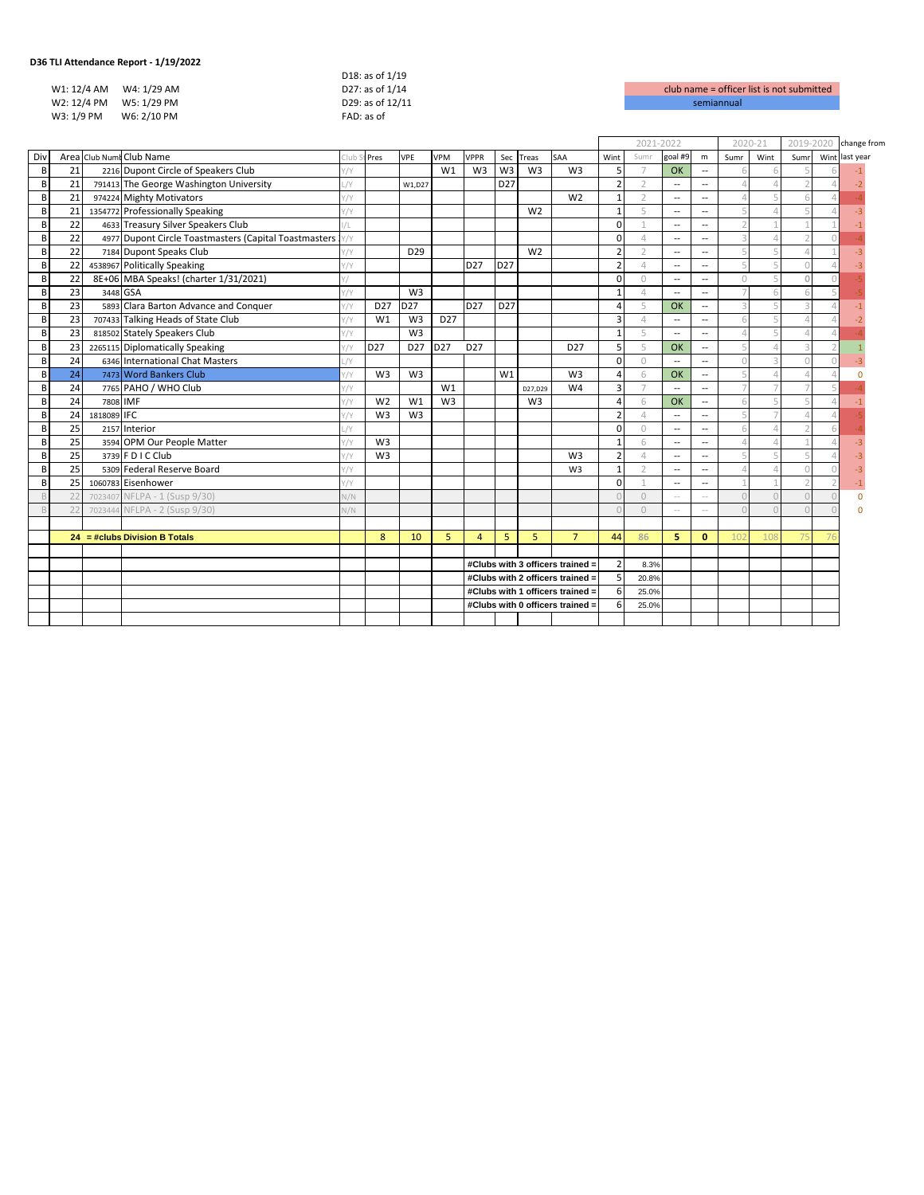| 30 TELARREHUGHICE REPOLL - 17 137 2022 |                  |                    |
|----------------------------------------|------------------|--------------------|
|                                        | D18: as of 1/19  |                    |
| W1: 12/4 AM<br>W4: 1/29 AM             | D27: as of 1/14  | club name = office |
| W2: 12/4 PM<br>W5: 1/29 PM             | D29: as of 12/11 | semiannual         |
| W3: 1/9 PM<br>W6: 2/10 PM              | FAD: as of       |                    |
|                                        |                  |                    |

| club name = officer list is not submitted |
|-------------------------------------------|
| semiannual                                |

|                |    |             |                                                       |            |                 |                 |                 |                                  |                 |                |                 | 2021-2022                |                |                          |                          | 2020-21                  |                | 2019-2020 |  | change from    |
|----------------|----|-------------|-------------------------------------------------------|------------|-----------------|-----------------|-----------------|----------------------------------|-----------------|----------------|-----------------|--------------------------|----------------|--------------------------|--------------------------|--------------------------|----------------|-----------|--|----------------|
| Div            |    |             | Area Club Numt Club Name                              | :Iub       | Pres            | <b>VPE</b>      | VPM             | <b>VPPR</b>                      |                 | Sec Treas      | <b>SAA</b>      | Wint                     | Sumr           | goal #9                  | m                        | Sumr                     | Wint           | Sumr      |  | Wint last year |
| B              | 21 |             | 2216 Dupont Circle of Speakers Club                   | $\gamma$   |                 |                 | W1              | W <sub>3</sub>                   | W <sub>3</sub>  | W <sub>3</sub> | W <sub>3</sub>  | 5                        | $\overline{7}$ | OK                       | $\overline{\phantom{a}}$ |                          |                |           |  |                |
| B              | 21 |             | 791413 The George Washington University               | /Y         |                 | W1.D27          |                 |                                  | D <sub>27</sub> |                |                 | $\overline{2}$           | $\mathcal{D}$  | $\overline{\phantom{a}}$ | $\overline{\phantom{a}}$ | $\Delta$                 |                |           |  |                |
| B              | 21 |             | 974224 Mighty Motivators                              | '/Y        |                 |                 |                 |                                  |                 |                | W <sub>2</sub>  |                          | $\bigcirc$     | $\overline{\phantom{a}}$ | $\overline{\phantom{a}}$ | $\Delta$                 |                |           |  |                |
| B              | 21 |             | 1354772 Professionally Speaking                       | $\gamma$   |                 |                 |                 |                                  |                 | W <sub>2</sub> |                 |                          | $\overline{a}$ | $\sim$                   | $\overline{a}$           | 5                        |                |           |  |                |
| B              | 22 |             | 4633 Treasury Silver Speakers Club                    |            |                 |                 |                 |                                  |                 |                |                 | $\Omega$                 |                | $\overline{\phantom{0}}$ | $\overline{a}$           | $\overline{\phantom{a}}$ |                |           |  |                |
| B              | 22 |             | 4977 Dupont Circle Toastmasters (Capital Toastmasters |            |                 |                 |                 |                                  |                 |                |                 | $\Omega$                 | $\Lambda$      | $\sim$                   | $\overline{a}$           | $\overline{\mathcal{L}}$ |                |           |  |                |
| B              | 22 |             | 7184 Dupont Speaks Club                               | $\sqrt{}$  |                 | D <sub>29</sub> |                 |                                  |                 | W <sub>2</sub> |                 | $\overline{\phantom{a}}$ |                | $\sim$                   | $\overline{\phantom{a}}$ | 5                        |                |           |  |                |
| B              | 22 |             | 4538967 Politically Speaking                          | $\gamma$   |                 |                 |                 | D <sub>27</sub>                  | D27             |                |                 | $\overline{2}$           | $\Lambda$      | $\overline{a}$           | $\overline{\phantom{a}}$ | 5                        |                |           |  |                |
| B              | 22 |             | 8E+06 MBA Speaks! (charter 1/31/2021)                 |            |                 |                 |                 |                                  |                 |                |                 | $\Omega$                 | $\cup$         | $\overline{a}$           | $\overline{a}$           | $\Omega$                 |                |           |  |                |
| R <sub>1</sub> | 23 | 3448 GSA    |                                                       | $\sqrt{}$  |                 | W <sub>3</sub>  |                 |                                  |                 |                |                 |                          | $\Delta$       | $\overline{a}$           | $\overline{\phantom{a}}$ | $\overline{7}$           |                |           |  |                |
| B              | 23 |             | 5893 Clara Barton Advance and Conquer                 | $\gamma$   | D <sub>27</sub> | D <sub>27</sub> |                 | D <sub>27</sub>                  | D <sub>27</sub> |                |                 | $\Delta$                 | $\overline{a}$ | OK                       | $\overline{a}$           | 3                        |                |           |  |                |
| B              | 23 |             | 707433 Talking Heads of State Club                    | $\sqrt{}$  | W1              | W <sub>3</sub>  | D <sub>27</sub> |                                  |                 |                |                 | Е                        |                | $\overline{a}$           | $\overline{a}$           | 6                        |                |           |  |                |
| B              | 23 |             | 818502 Stately Speakers Club                          | $\sqrt{}$  |                 | W <sub>3</sub>  |                 |                                  |                 |                |                 |                          | Д              | $\overline{a}$           | $\overline{\phantom{a}}$ | $\Delta$                 |                |           |  |                |
| B              | 23 |             | 2265115 Diplomatically Speaking                       | $\sqrt{}$  | D <sub>27</sub> | D <sub>27</sub> | D <sub>27</sub> | D <sub>27</sub>                  |                 |                | D <sub>27</sub> | 5                        | 5              | OK                       | $\overline{\phantom{a}}$ | 5                        |                |           |  |                |
| B              | 24 |             | 6346 International Chat Masters                       | $\sqrt{}$  |                 |                 |                 |                                  |                 |                |                 | $\Omega$                 | $\cup$         | $\overline{\phantom{a}}$ | $\overline{\phantom{a}}$ | $\Omega$                 |                |           |  |                |
| B              | 24 |             | 7473 Word Bankers Club                                | $1/\gamma$ | W <sub>3</sub>  | W <sub>3</sub>  |                 |                                  | W1              |                | W <sub>3</sub>  | $\Delta$                 | 6              | OK                       | $\overline{\phantom{a}}$ | 5                        |                |           |  |                |
| B              | 24 |             | 7765 PAHO / WHO Club                                  | $\sqrt{}$  |                 |                 | W1              |                                  |                 | D27,D29        | W <sub>4</sub>  | $\overline{3}$           |                | $\overline{\phantom{a}}$ | --                       | $\overline{7}$           |                |           |  |                |
| B              | 24 | 7808 IMF    |                                                       | '/Y        | W <sub>2</sub>  | W <sub>1</sub>  | W <sub>3</sub>  |                                  |                 | W <sub>3</sub> |                 | $\Delta$                 | 6              | OK                       | $\overline{\phantom{a}}$ | 6                        |                |           |  |                |
| B              | 24 | 1818089 IFC |                                                       | $\sqrt{}$  | W <sub>3</sub>  | W <sub>3</sub>  |                 |                                  |                 |                |                 | $\overline{2}$           | $\Delta$       | $\overline{\phantom{a}}$ | $\overline{\phantom{a}}$ | 5                        |                |           |  |                |
| B              | 25 |             | 2157 Interior                                         | /Y         |                 |                 |                 |                                  |                 |                |                 | $\Omega$                 | $\Omega$       | $\overline{\phantom{a}}$ | $\overline{a}$           | 6                        |                |           |  |                |
| B              | 25 |             | 3594 OPM Our People Matter                            | $\sqrt{}$  | W <sub>3</sub>  |                 |                 |                                  |                 |                |                 |                          | 6              | $\sim$                   | $\overline{a}$           | $\varDelta$              |                |           |  |                |
| B              | 25 |             | 3739 F D I C Club                                     | $\gamma$   | W <sub>3</sub>  |                 |                 |                                  |                 |                | W <sub>3</sub>  | $\overline{2}$           | $\varDelta$    | $\overline{\phantom{a}}$ | $\overline{\phantom{a}}$ | 5                        |                |           |  |                |
| B              | 25 |             | 5309 Federal Reserve Board                            | $\gamma$   |                 |                 |                 |                                  |                 |                | W3              | $\mathbf{1}$             |                | $\overline{a}$           | $\overline{a}$           | $\Delta$                 |                |           |  | -3             |
| B              | 25 |             | 1060783 Eisenhower                                    | $\gamma$   |                 |                 |                 |                                  |                 |                |                 | $\Omega$                 |                | $\overline{\phantom{a}}$ | $\overline{\phantom{a}}$ |                          |                |           |  |                |
|                | 22 |             | 7023407 NFLPA - 1 (Susp 9/30)                         | $\sqrt{N}$ |                 |                 |                 |                                  |                 |                |                 |                          | $\Omega$       |                          |                          | $\Omega$                 |                |           |  | $\Omega$       |
|                | 22 |             | 7023444 NFLPA - 2 (Susp 9/30)                         | V/N        |                 |                 |                 |                                  |                 |                |                 |                          | $\bigcap$      | $\sim$                   | $\sim$                   | $\bigcap$                |                |           |  |                |
|                |    |             |                                                       |            |                 |                 |                 |                                  |                 |                |                 |                          |                |                          |                          |                          |                |           |  |                |
|                |    |             | $24 = # clubs Division B Totals$                      |            | 8               | 10              | 5               | $\overline{a}$                   | 5               | 5              | $\overline{7}$  | 44                       | 86             | 5.                       | $\mathbf{0}$             | 102                      | 1 <sub>0</sub> |           |  |                |
|                |    |             |                                                       |            |                 |                 |                 |                                  |                 |                |                 |                          |                |                          |                          |                          |                |           |  |                |
|                |    |             |                                                       |            |                 |                 |                 | #Clubs with 3 officers trained = |                 |                | $\overline{2}$  | 8.3%                     |                |                          |                          |                          |                |           |  |                |
|                |    |             |                                                       |            |                 |                 |                 | #Clubs with 2 officers trained = |                 |                | .5              | 20.8%                    |                |                          |                          |                          |                |           |  |                |
|                |    |             |                                                       |            |                 |                 |                 | #Clubs with 1 officers trained = |                 |                | -6              | 25.0%                    |                |                          |                          |                          |                |           |  |                |
|                |    |             |                                                       |            |                 |                 |                 | #Clubs with 0 officers trained = |                 |                | 6               | 25.0%                    |                |                          |                          |                          |                |           |  |                |
|                |    |             |                                                       |            |                 |                 |                 |                                  |                 |                |                 |                          |                |                          |                          |                          |                |           |  |                |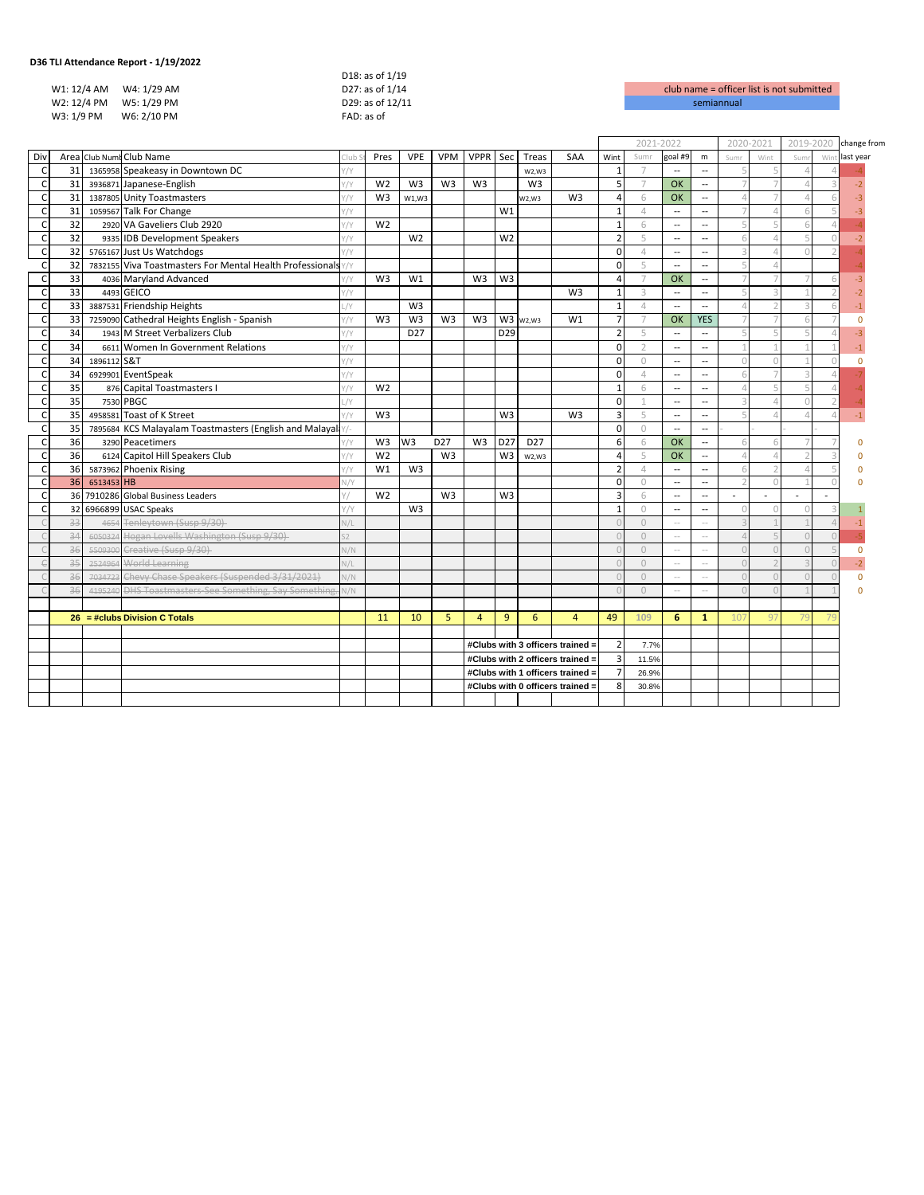|             | 36 TLI Attendance Report - 1/19/2022 |                  |                    |
|-------------|--------------------------------------|------------------|--------------------|
|             |                                      | D18: as of 1/19  |                    |
| W1: 12/4 AM | W4: 1/29 AM                          | D27: as of 1/14  | club name = office |
| W2: 12/4 PM | W5: 1/29 PM                          | D29: as of 12/11 | semiannual         |
| W3: 1/9 PM  | W6: 2/10 PM                          | FAD: as of       |                    |
|             |                                      |                  |                    |

| club name = officer list is not submitted |
|-------------------------------------------|
| semiannual                                |

| Area Club Numt Club Name<br>VPPR Sec<br>goal #9<br>Div<br>Pres<br><b>VPE</b><br><b>VPM</b><br>Treas<br>SAA<br>Wint<br>Sumr<br>m<br>last year<br>Wint<br>Wir<br>Club<br>Sum<br>Sum<br>31<br>1365958 Speakeasy in Downtown DC<br>C<br>$\gamma$<br>$\overline{1}$<br>$\overline{ }$<br>$\overline{\phantom{a}}$<br>W2,W3<br>$\overline{\phantom{a}}$<br>31<br>3936871 Japanese-English<br>W <sub>2</sub><br>W <sub>3</sub><br>W <sub>3</sub><br>W <sub>3</sub><br>W <sub>3</sub><br>5<br>C<br>$\gamma$<br>$\overline{7}$<br>OK<br>$\overline{7}$<br>$-2$<br>$\overline{\phantom{a}}$<br>31<br>$\mathsf{C}$<br>1387805 Unity Toastmasters<br>W <sub>3</sub><br>W <sub>3</sub><br>OK<br>$\gamma$<br>$\overline{4}$<br>6<br>$\varDelta$<br>W1,W3<br>W2,W3<br>$\overline{\phantom{a}}$<br>31<br>$\mathsf{C}$<br>1059567 Talk For Change<br>W1<br>$\overline{ }$<br>$\gamma$<br>$\Delta$<br>$\overline{\phantom{a}}$<br>$\overline{\phantom{a}}$<br>32<br>$\mathsf{C}$<br>2920 VA Gaveliers Club 2920<br>W <sub>2</sub><br>5<br>$\gamma$<br>$\mathbf{1}$<br>6<br>$\overline{\phantom{a}}$<br>$\overline{\phantom{a}}$<br>32<br>W <sub>2</sub><br>W <sub>2</sub><br>$\overline{2}$<br>5<br>$\mathsf{C}$<br>9335 IDB Development Speakers<br>6<br>'/Y<br>$\sim$<br>$\overline{a}$<br>32<br>$\Omega$<br>3<br>$\mathsf{C}$<br>5765167 Just Us Watchdogs<br>$\gamma$<br>$\overline{4}$<br>$\overline{a}$<br>$\overline{\phantom{a}}$<br>32<br>7832155 Viva Toastmasters For Mental Health Professionals<br>5<br>$\Omega$<br>5<br>$\epsilon$<br>$\frac{1}{2}$<br>$\overline{\phantom{a}}$<br>$\overline{\phantom{a}}$<br>33<br>$\epsilon$<br>W <sub>3</sub><br>4036 Maryland Advanced<br>W <sub>3</sub><br>W3<br>OK<br>$\gamma$<br>W1<br>$\overline{a}$<br>$\overline{7}$<br>7<br>$\overline{\phantom{a}}$<br>33<br>4493 GEICO<br>W <sub>3</sub><br>5<br>C<br>3<br>$\gamma$<br>$\overline{a}$<br>-1<br>-2<br>$\sim$<br>$\mathsf{C}$<br>33<br>3887531 Friendship Heights<br>W <sub>3</sub><br>$\overline{1}$<br>$\varDelta$<br>/<br>$\overline{4}$<br>$\overline{a}$<br>$\overline{\phantom{a}}$<br>$\overline{7}$<br>33<br>W <sub>3</sub><br>$\overline{7}$<br>$\mathsf{C}$<br>7259090 Cathedral Heights English - Spanish<br>W <sub>3</sub><br>W <sub>3</sub><br>W <sub>3</sub><br>W3 w <sub>2</sub> , w <sub>3</sub><br>W1<br>OK<br><b>YES</b><br>$\frac{1}{1}$<br>$\overline{7}$<br>$\Omega$<br>34<br>$\mathsf{C}$<br>1943 M Street Verbalizers Club<br>D <sub>27</sub><br>D <sub>29</sub><br>$\overline{2}$<br>5<br>$\overline{a}$<br>$\gamma$<br>$\overline{\phantom{a}}$<br>$\overline{\phantom{a}}$<br>34<br>$\mathsf{C}$<br>$\Omega$<br>6611 Women In Government Relations<br>$\overline{\phantom{a}}$<br>$\gamma$<br>$\mathcal{D}$<br>$\sim$<br>34<br>1896112 S&T<br>$\Omega$<br>$\epsilon$<br>$\gamma$<br>$\Omega$<br>$\cap$<br>$\overline{\phantom{a}}$<br>$\overline{\phantom{a}}$<br>n<br>34<br>6929901 EventSpeak<br>$\Omega$<br>C<br>$\gamma$<br>4<br>$\overline{\phantom{a}}$<br>6<br>$\overline{\phantom{a}}$<br>35<br>876 Capital Toastmasters I<br>W <sub>2</sub><br>$\epsilon$<br>$\gamma$<br>6<br>$\overline{1}$<br>$\Delta$<br>$\overline{\phantom{a}}$<br>$\overline{\phantom{a}}$<br>35<br>$\mathsf{C}$<br>7530 PBGC<br>$\Omega$<br>3<br>/Y<br>$\overline{\phantom{a}}$<br>$\overline{\phantom{a}}$<br>$\mathsf{C}$<br>35<br>5<br>4958581 Toast of K Street<br>W <sub>3</sub><br>W <sub>3</sub><br>W <sub>3</sub><br>$\overline{3}$<br>5<br>$\gamma$<br>$\overline{a}$<br>$\overline{\phantom{a}}$<br>35<br>$\Omega$<br>$\epsilon$<br>7895684 KCS Malayalam Toastmasters (English and Malayala<br>$\circ$<br>$\overline{a}$<br>$\overline{\phantom{a}}$<br>36<br>3290 Peacetimers<br>$\epsilon$<br>W3<br>W3<br>D27<br>W <sub>3</sub><br>D <sub>27</sub><br>D <sub>27</sub><br>6<br>OK<br>$\overline{a}$<br>6<br>6<br>$^{\prime}/\mathrm{Y}$<br>n<br>36<br>6124 Capitol Hill Speakers Club<br>W <sub>2</sub><br>W <sub>3</sub><br>W <sub>3</sub><br>C<br>5<br><b>OK</b><br>$\gamma$<br>$\Delta$<br>$\Delta$<br>W2.W3<br>$\overline{a}$<br>36<br>C<br>W <sub>3</sub><br>$\overline{\mathbf{z}}$<br>5873962 Phoenix Rising<br>W1<br>$\varDelta$<br>$\gamma$<br>$\overline{a}$<br>$\sim$<br>6<br>36<br>6513453 HB<br>$\Omega$<br>C<br>V/Y<br>$\circ$<br>$\overline{\phantom{a}}$<br>$\overline{\phantom{a}}$<br>2<br>$\overline{\mathbf{3}}$<br>$\epsilon$<br>36<br>7910286 Global Business Leaders<br>W <sub>2</sub><br>W <sub>3</sub><br>W <sub>3</sub><br>6<br>$\overline{\phantom{a}}$<br>$\overline{\phantom{a}}$<br>٠<br>$\overline{\phantom{a}}$<br>$\overline{a}$<br>$\mathsf{C}$<br>32<br>6966899 USAC Speaks<br>W <sub>3</sub><br>$\overline{1}$<br>$\bigcirc$<br>1/Y<br>$\overline{\phantom{a}}$<br>$\circ$<br>$\overline{\phantom{a}}$<br>$\Omega$<br>33<br>4654 Tenleytown (Susp 9/30)<br>$\overline{z}$<br>$\circ$<br>N/L<br>$\cap$<br>$\overline{a}$<br>-1<br>$\sim$<br>34<br>6050324 Hogan Lovells Washington (Susp 9/30)<br>$\cup$<br>$\Delta$<br>2<br>$\overline{\phantom{a}}$<br>$\sim$ $-$<br>36<br>5509300 Creative (Susp 9/30)<br>$\Omega$<br>N/N<br>$\Omega$<br>$\Omega$<br>$\sim$<br>$\cup$<br>$\sim$ $-$<br>35<br>2524964 World Learning<br>$\Omega$<br>$\sqrt{L}$<br>$\cap$<br>$\sim$ $-$<br>$\overline{a}$<br>36<br>7034723 Chevy Chase Speakers (Suspended 3/31/2021)<br>$\Omega$<br>N/N<br>$\cap$<br>$\Omega$<br>$\sqrt{ }$<br>$\overline{a}$<br>$\sim$<br>36<br>4195240 DHS Toastmasters-See Something, Say Something<br>$\Omega$<br>$\bigcap$<br>N/N<br>$\overline{a}$<br>$\sim$<br>11<br>10<br>5<br>9<br>6<br>49<br>$26 = # clubs Division C Totals$<br>$\overline{4}$<br>109<br>6<br>$\mathbf{1}$<br>$\overline{4}$<br>107<br>97<br>$\overline{2}$<br>#Clubs with 3 officers trained =<br>7.7%<br>$\overline{3}$<br>#Clubs with 2 officers trained =<br>11.5%<br>$\overline{7}$<br>#Clubs with 1 officers trained =<br>26.9%<br>8<br>#Clubs with 0 officers trained =<br>30.8% |  |  |  |  |  |  |  | 2021-2022 |  | 2020-2021 |  | 2019-2020 |  | change from |  |
|-----------------------------------------------------------------------------------------------------------------------------------------------------------------------------------------------------------------------------------------------------------------------------------------------------------------------------------------------------------------------------------------------------------------------------------------------------------------------------------------------------------------------------------------------------------------------------------------------------------------------------------------------------------------------------------------------------------------------------------------------------------------------------------------------------------------------------------------------------------------------------------------------------------------------------------------------------------------------------------------------------------------------------------------------------------------------------------------------------------------------------------------------------------------------------------------------------------------------------------------------------------------------------------------------------------------------------------------------------------------------------------------------------------------------------------------------------------------------------------------------------------------------------------------------------------------------------------------------------------------------------------------------------------------------------------------------------------------------------------------------------------------------------------------------------------------------------------------------------------------------------------------------------------------------------------------------------------------------------------------------------------------------------------------------------------------------------------------------------------------------------------------------------------------------------------------------------------------------------------------------------------------------------------------------------------------------------------------------------------------------------------------------------------------------------------------------------------------------------------------------------------------------------------------------------------------------------------------------------------------------------------------------------------------------------------------------------------------------------------------------------------------------------------------------------------------------------------------------------------------------------------------------------------------------------------------------------------------------------------------------------------------------------------------------------------------------------------------------------------------------------------------------------------------------------------------------------------------------------------------------------------------------------------------------------------------------------------------------------------------------------------------------------------------------------------------------------------------------------------------------------------------------------------------------------------------------------------------------------------------------------------------------------------------------------------------------------------------------------------------------------------------------------------------------------------------------------------------------------------------------------------------------------------------------------------------------------------------------------------------------------------------------------------------------------------------------------------------------------------------------------------------------------------------------------------------------------------------------------------------------------------------------------------------------------------------------------------------------------------------------------------------------------------------------------------------------------------------------------------------------------------------------------------------------------------------------------------------------------------------------------------------------------------------------------------------------------------------------------------------------------------------------------------------------------------------------------------------------------------------------------------------------------------------------------------------------------------------------------------------------------------------------------------------------------------------------------------------------------------------------------------------------------------------------------------------------------------------------------------------------------------------------------------------------------------------------------------------------------------------------------------------------------------------------------------------------------------------------------------------------------------------------------------------------------------------------------------------------------------------------------------------------------------------------------------------------------------------------------------------------------------------------------------------------------------------------------------------------------------------------------------------------------------------------|--|--|--|--|--|--|--|-----------|--|-----------|--|-----------|--|-------------|--|
|                                                                                                                                                                                                                                                                                                                                                                                                                                                                                                                                                                                                                                                                                                                                                                                                                                                                                                                                                                                                                                                                                                                                                                                                                                                                                                                                                                                                                                                                                                                                                                                                                                                                                                                                                                                                                                                                                                                                                                                                                                                                                                                                                                                                                                                                                                                                                                                                                                                                                                                                                                                                                                                                                                                                                                                                                                                                                                                                                                                                                                                                                                                                                                                                                                                                                                                                                                                                                                                                                                                                                                                                                                                                                                                                                                                                                                                                                                                                                                                                                                                                                                                                                                                                                                                                                                                                                                                                                                                                                                                                                                                                                                                                                                                                                                                                                                                                                                                                                                                                                                                                                                                                                                                                                                                                                                                                                                                                                                                                                                                                                                                                                                                                                                                                                                                                                                                                                                                       |  |  |  |  |  |  |  |           |  |           |  |           |  |             |  |
|                                                                                                                                                                                                                                                                                                                                                                                                                                                                                                                                                                                                                                                                                                                                                                                                                                                                                                                                                                                                                                                                                                                                                                                                                                                                                                                                                                                                                                                                                                                                                                                                                                                                                                                                                                                                                                                                                                                                                                                                                                                                                                                                                                                                                                                                                                                                                                                                                                                                                                                                                                                                                                                                                                                                                                                                                                                                                                                                                                                                                                                                                                                                                                                                                                                                                                                                                                                                                                                                                                                                                                                                                                                                                                                                                                                                                                                                                                                                                                                                                                                                                                                                                                                                                                                                                                                                                                                                                                                                                                                                                                                                                                                                                                                                                                                                                                                                                                                                                                                                                                                                                                                                                                                                                                                                                                                                                                                                                                                                                                                                                                                                                                                                                                                                                                                                                                                                                                                       |  |  |  |  |  |  |  |           |  |           |  |           |  |             |  |
|                                                                                                                                                                                                                                                                                                                                                                                                                                                                                                                                                                                                                                                                                                                                                                                                                                                                                                                                                                                                                                                                                                                                                                                                                                                                                                                                                                                                                                                                                                                                                                                                                                                                                                                                                                                                                                                                                                                                                                                                                                                                                                                                                                                                                                                                                                                                                                                                                                                                                                                                                                                                                                                                                                                                                                                                                                                                                                                                                                                                                                                                                                                                                                                                                                                                                                                                                                                                                                                                                                                                                                                                                                                                                                                                                                                                                                                                                                                                                                                                                                                                                                                                                                                                                                                                                                                                                                                                                                                                                                                                                                                                                                                                                                                                                                                                                                                                                                                                                                                                                                                                                                                                                                                                                                                                                                                                                                                                                                                                                                                                                                                                                                                                                                                                                                                                                                                                                                                       |  |  |  |  |  |  |  |           |  |           |  |           |  |             |  |
|                                                                                                                                                                                                                                                                                                                                                                                                                                                                                                                                                                                                                                                                                                                                                                                                                                                                                                                                                                                                                                                                                                                                                                                                                                                                                                                                                                                                                                                                                                                                                                                                                                                                                                                                                                                                                                                                                                                                                                                                                                                                                                                                                                                                                                                                                                                                                                                                                                                                                                                                                                                                                                                                                                                                                                                                                                                                                                                                                                                                                                                                                                                                                                                                                                                                                                                                                                                                                                                                                                                                                                                                                                                                                                                                                                                                                                                                                                                                                                                                                                                                                                                                                                                                                                                                                                                                                                                                                                                                                                                                                                                                                                                                                                                                                                                                                                                                                                                                                                                                                                                                                                                                                                                                                                                                                                                                                                                                                                                                                                                                                                                                                                                                                                                                                                                                                                                                                                                       |  |  |  |  |  |  |  |           |  |           |  |           |  |             |  |
|                                                                                                                                                                                                                                                                                                                                                                                                                                                                                                                                                                                                                                                                                                                                                                                                                                                                                                                                                                                                                                                                                                                                                                                                                                                                                                                                                                                                                                                                                                                                                                                                                                                                                                                                                                                                                                                                                                                                                                                                                                                                                                                                                                                                                                                                                                                                                                                                                                                                                                                                                                                                                                                                                                                                                                                                                                                                                                                                                                                                                                                                                                                                                                                                                                                                                                                                                                                                                                                                                                                                                                                                                                                                                                                                                                                                                                                                                                                                                                                                                                                                                                                                                                                                                                                                                                                                                                                                                                                                                                                                                                                                                                                                                                                                                                                                                                                                                                                                                                                                                                                                                                                                                                                                                                                                                                                                                                                                                                                                                                                                                                                                                                                                                                                                                                                                                                                                                                                       |  |  |  |  |  |  |  |           |  |           |  |           |  |             |  |
|                                                                                                                                                                                                                                                                                                                                                                                                                                                                                                                                                                                                                                                                                                                                                                                                                                                                                                                                                                                                                                                                                                                                                                                                                                                                                                                                                                                                                                                                                                                                                                                                                                                                                                                                                                                                                                                                                                                                                                                                                                                                                                                                                                                                                                                                                                                                                                                                                                                                                                                                                                                                                                                                                                                                                                                                                                                                                                                                                                                                                                                                                                                                                                                                                                                                                                                                                                                                                                                                                                                                                                                                                                                                                                                                                                                                                                                                                                                                                                                                                                                                                                                                                                                                                                                                                                                                                                                                                                                                                                                                                                                                                                                                                                                                                                                                                                                                                                                                                                                                                                                                                                                                                                                                                                                                                                                                                                                                                                                                                                                                                                                                                                                                                                                                                                                                                                                                                                                       |  |  |  |  |  |  |  |           |  |           |  |           |  |             |  |
|                                                                                                                                                                                                                                                                                                                                                                                                                                                                                                                                                                                                                                                                                                                                                                                                                                                                                                                                                                                                                                                                                                                                                                                                                                                                                                                                                                                                                                                                                                                                                                                                                                                                                                                                                                                                                                                                                                                                                                                                                                                                                                                                                                                                                                                                                                                                                                                                                                                                                                                                                                                                                                                                                                                                                                                                                                                                                                                                                                                                                                                                                                                                                                                                                                                                                                                                                                                                                                                                                                                                                                                                                                                                                                                                                                                                                                                                                                                                                                                                                                                                                                                                                                                                                                                                                                                                                                                                                                                                                                                                                                                                                                                                                                                                                                                                                                                                                                                                                                                                                                                                                                                                                                                                                                                                                                                                                                                                                                                                                                                                                                                                                                                                                                                                                                                                                                                                                                                       |  |  |  |  |  |  |  |           |  |           |  |           |  |             |  |
|                                                                                                                                                                                                                                                                                                                                                                                                                                                                                                                                                                                                                                                                                                                                                                                                                                                                                                                                                                                                                                                                                                                                                                                                                                                                                                                                                                                                                                                                                                                                                                                                                                                                                                                                                                                                                                                                                                                                                                                                                                                                                                                                                                                                                                                                                                                                                                                                                                                                                                                                                                                                                                                                                                                                                                                                                                                                                                                                                                                                                                                                                                                                                                                                                                                                                                                                                                                                                                                                                                                                                                                                                                                                                                                                                                                                                                                                                                                                                                                                                                                                                                                                                                                                                                                                                                                                                                                                                                                                                                                                                                                                                                                                                                                                                                                                                                                                                                                                                                                                                                                                                                                                                                                                                                                                                                                                                                                                                                                                                                                                                                                                                                                                                                                                                                                                                                                                                                                       |  |  |  |  |  |  |  |           |  |           |  |           |  |             |  |
|                                                                                                                                                                                                                                                                                                                                                                                                                                                                                                                                                                                                                                                                                                                                                                                                                                                                                                                                                                                                                                                                                                                                                                                                                                                                                                                                                                                                                                                                                                                                                                                                                                                                                                                                                                                                                                                                                                                                                                                                                                                                                                                                                                                                                                                                                                                                                                                                                                                                                                                                                                                                                                                                                                                                                                                                                                                                                                                                                                                                                                                                                                                                                                                                                                                                                                                                                                                                                                                                                                                                                                                                                                                                                                                                                                                                                                                                                                                                                                                                                                                                                                                                                                                                                                                                                                                                                                                                                                                                                                                                                                                                                                                                                                                                                                                                                                                                                                                                                                                                                                                                                                                                                                                                                                                                                                                                                                                                                                                                                                                                                                                                                                                                                                                                                                                                                                                                                                                       |  |  |  |  |  |  |  |           |  |           |  |           |  |             |  |
|                                                                                                                                                                                                                                                                                                                                                                                                                                                                                                                                                                                                                                                                                                                                                                                                                                                                                                                                                                                                                                                                                                                                                                                                                                                                                                                                                                                                                                                                                                                                                                                                                                                                                                                                                                                                                                                                                                                                                                                                                                                                                                                                                                                                                                                                                                                                                                                                                                                                                                                                                                                                                                                                                                                                                                                                                                                                                                                                                                                                                                                                                                                                                                                                                                                                                                                                                                                                                                                                                                                                                                                                                                                                                                                                                                                                                                                                                                                                                                                                                                                                                                                                                                                                                                                                                                                                                                                                                                                                                                                                                                                                                                                                                                                                                                                                                                                                                                                                                                                                                                                                                                                                                                                                                                                                                                                                                                                                                                                                                                                                                                                                                                                                                                                                                                                                                                                                                                                       |  |  |  |  |  |  |  |           |  |           |  |           |  |             |  |
|                                                                                                                                                                                                                                                                                                                                                                                                                                                                                                                                                                                                                                                                                                                                                                                                                                                                                                                                                                                                                                                                                                                                                                                                                                                                                                                                                                                                                                                                                                                                                                                                                                                                                                                                                                                                                                                                                                                                                                                                                                                                                                                                                                                                                                                                                                                                                                                                                                                                                                                                                                                                                                                                                                                                                                                                                                                                                                                                                                                                                                                                                                                                                                                                                                                                                                                                                                                                                                                                                                                                                                                                                                                                                                                                                                                                                                                                                                                                                                                                                                                                                                                                                                                                                                                                                                                                                                                                                                                                                                                                                                                                                                                                                                                                                                                                                                                                                                                                                                                                                                                                                                                                                                                                                                                                                                                                                                                                                                                                                                                                                                                                                                                                                                                                                                                                                                                                                                                       |  |  |  |  |  |  |  |           |  |           |  |           |  |             |  |
|                                                                                                                                                                                                                                                                                                                                                                                                                                                                                                                                                                                                                                                                                                                                                                                                                                                                                                                                                                                                                                                                                                                                                                                                                                                                                                                                                                                                                                                                                                                                                                                                                                                                                                                                                                                                                                                                                                                                                                                                                                                                                                                                                                                                                                                                                                                                                                                                                                                                                                                                                                                                                                                                                                                                                                                                                                                                                                                                                                                                                                                                                                                                                                                                                                                                                                                                                                                                                                                                                                                                                                                                                                                                                                                                                                                                                                                                                                                                                                                                                                                                                                                                                                                                                                                                                                                                                                                                                                                                                                                                                                                                                                                                                                                                                                                                                                                                                                                                                                                                                                                                                                                                                                                                                                                                                                                                                                                                                                                                                                                                                                                                                                                                                                                                                                                                                                                                                                                       |  |  |  |  |  |  |  |           |  |           |  |           |  |             |  |
|                                                                                                                                                                                                                                                                                                                                                                                                                                                                                                                                                                                                                                                                                                                                                                                                                                                                                                                                                                                                                                                                                                                                                                                                                                                                                                                                                                                                                                                                                                                                                                                                                                                                                                                                                                                                                                                                                                                                                                                                                                                                                                                                                                                                                                                                                                                                                                                                                                                                                                                                                                                                                                                                                                                                                                                                                                                                                                                                                                                                                                                                                                                                                                                                                                                                                                                                                                                                                                                                                                                                                                                                                                                                                                                                                                                                                                                                                                                                                                                                                                                                                                                                                                                                                                                                                                                                                                                                                                                                                                                                                                                                                                                                                                                                                                                                                                                                                                                                                                                                                                                                                                                                                                                                                                                                                                                                                                                                                                                                                                                                                                                                                                                                                                                                                                                                                                                                                                                       |  |  |  |  |  |  |  |           |  |           |  |           |  |             |  |
|                                                                                                                                                                                                                                                                                                                                                                                                                                                                                                                                                                                                                                                                                                                                                                                                                                                                                                                                                                                                                                                                                                                                                                                                                                                                                                                                                                                                                                                                                                                                                                                                                                                                                                                                                                                                                                                                                                                                                                                                                                                                                                                                                                                                                                                                                                                                                                                                                                                                                                                                                                                                                                                                                                                                                                                                                                                                                                                                                                                                                                                                                                                                                                                                                                                                                                                                                                                                                                                                                                                                                                                                                                                                                                                                                                                                                                                                                                                                                                                                                                                                                                                                                                                                                                                                                                                                                                                                                                                                                                                                                                                                                                                                                                                                                                                                                                                                                                                                                                                                                                                                                                                                                                                                                                                                                                                                                                                                                                                                                                                                                                                                                                                                                                                                                                                                                                                                                                                       |  |  |  |  |  |  |  |           |  |           |  |           |  |             |  |
|                                                                                                                                                                                                                                                                                                                                                                                                                                                                                                                                                                                                                                                                                                                                                                                                                                                                                                                                                                                                                                                                                                                                                                                                                                                                                                                                                                                                                                                                                                                                                                                                                                                                                                                                                                                                                                                                                                                                                                                                                                                                                                                                                                                                                                                                                                                                                                                                                                                                                                                                                                                                                                                                                                                                                                                                                                                                                                                                                                                                                                                                                                                                                                                                                                                                                                                                                                                                                                                                                                                                                                                                                                                                                                                                                                                                                                                                                                                                                                                                                                                                                                                                                                                                                                                                                                                                                                                                                                                                                                                                                                                                                                                                                                                                                                                                                                                                                                                                                                                                                                                                                                                                                                                                                                                                                                                                                                                                                                                                                                                                                                                                                                                                                                                                                                                                                                                                                                                       |  |  |  |  |  |  |  |           |  |           |  |           |  |             |  |
|                                                                                                                                                                                                                                                                                                                                                                                                                                                                                                                                                                                                                                                                                                                                                                                                                                                                                                                                                                                                                                                                                                                                                                                                                                                                                                                                                                                                                                                                                                                                                                                                                                                                                                                                                                                                                                                                                                                                                                                                                                                                                                                                                                                                                                                                                                                                                                                                                                                                                                                                                                                                                                                                                                                                                                                                                                                                                                                                                                                                                                                                                                                                                                                                                                                                                                                                                                                                                                                                                                                                                                                                                                                                                                                                                                                                                                                                                                                                                                                                                                                                                                                                                                                                                                                                                                                                                                                                                                                                                                                                                                                                                                                                                                                                                                                                                                                                                                                                                                                                                                                                                                                                                                                                                                                                                                                                                                                                                                                                                                                                                                                                                                                                                                                                                                                                                                                                                                                       |  |  |  |  |  |  |  |           |  |           |  |           |  |             |  |
|                                                                                                                                                                                                                                                                                                                                                                                                                                                                                                                                                                                                                                                                                                                                                                                                                                                                                                                                                                                                                                                                                                                                                                                                                                                                                                                                                                                                                                                                                                                                                                                                                                                                                                                                                                                                                                                                                                                                                                                                                                                                                                                                                                                                                                                                                                                                                                                                                                                                                                                                                                                                                                                                                                                                                                                                                                                                                                                                                                                                                                                                                                                                                                                                                                                                                                                                                                                                                                                                                                                                                                                                                                                                                                                                                                                                                                                                                                                                                                                                                                                                                                                                                                                                                                                                                                                                                                                                                                                                                                                                                                                                                                                                                                                                                                                                                                                                                                                                                                                                                                                                                                                                                                                                                                                                                                                                                                                                                                                                                                                                                                                                                                                                                                                                                                                                                                                                                                                       |  |  |  |  |  |  |  |           |  |           |  |           |  |             |  |
|                                                                                                                                                                                                                                                                                                                                                                                                                                                                                                                                                                                                                                                                                                                                                                                                                                                                                                                                                                                                                                                                                                                                                                                                                                                                                                                                                                                                                                                                                                                                                                                                                                                                                                                                                                                                                                                                                                                                                                                                                                                                                                                                                                                                                                                                                                                                                                                                                                                                                                                                                                                                                                                                                                                                                                                                                                                                                                                                                                                                                                                                                                                                                                                                                                                                                                                                                                                                                                                                                                                                                                                                                                                                                                                                                                                                                                                                                                                                                                                                                                                                                                                                                                                                                                                                                                                                                                                                                                                                                                                                                                                                                                                                                                                                                                                                                                                                                                                                                                                                                                                                                                                                                                                                                                                                                                                                                                                                                                                                                                                                                                                                                                                                                                                                                                                                                                                                                                                       |  |  |  |  |  |  |  |           |  |           |  |           |  |             |  |
|                                                                                                                                                                                                                                                                                                                                                                                                                                                                                                                                                                                                                                                                                                                                                                                                                                                                                                                                                                                                                                                                                                                                                                                                                                                                                                                                                                                                                                                                                                                                                                                                                                                                                                                                                                                                                                                                                                                                                                                                                                                                                                                                                                                                                                                                                                                                                                                                                                                                                                                                                                                                                                                                                                                                                                                                                                                                                                                                                                                                                                                                                                                                                                                                                                                                                                                                                                                                                                                                                                                                                                                                                                                                                                                                                                                                                                                                                                                                                                                                                                                                                                                                                                                                                                                                                                                                                                                                                                                                                                                                                                                                                                                                                                                                                                                                                                                                                                                                                                                                                                                                                                                                                                                                                                                                                                                                                                                                                                                                                                                                                                                                                                                                                                                                                                                                                                                                                                                       |  |  |  |  |  |  |  |           |  |           |  |           |  |             |  |
|                                                                                                                                                                                                                                                                                                                                                                                                                                                                                                                                                                                                                                                                                                                                                                                                                                                                                                                                                                                                                                                                                                                                                                                                                                                                                                                                                                                                                                                                                                                                                                                                                                                                                                                                                                                                                                                                                                                                                                                                                                                                                                                                                                                                                                                                                                                                                                                                                                                                                                                                                                                                                                                                                                                                                                                                                                                                                                                                                                                                                                                                                                                                                                                                                                                                                                                                                                                                                                                                                                                                                                                                                                                                                                                                                                                                                                                                                                                                                                                                                                                                                                                                                                                                                                                                                                                                                                                                                                                                                                                                                                                                                                                                                                                                                                                                                                                                                                                                                                                                                                                                                                                                                                                                                                                                                                                                                                                                                                                                                                                                                                                                                                                                                                                                                                                                                                                                                                                       |  |  |  |  |  |  |  |           |  |           |  |           |  |             |  |
|                                                                                                                                                                                                                                                                                                                                                                                                                                                                                                                                                                                                                                                                                                                                                                                                                                                                                                                                                                                                                                                                                                                                                                                                                                                                                                                                                                                                                                                                                                                                                                                                                                                                                                                                                                                                                                                                                                                                                                                                                                                                                                                                                                                                                                                                                                                                                                                                                                                                                                                                                                                                                                                                                                                                                                                                                                                                                                                                                                                                                                                                                                                                                                                                                                                                                                                                                                                                                                                                                                                                                                                                                                                                                                                                                                                                                                                                                                                                                                                                                                                                                                                                                                                                                                                                                                                                                                                                                                                                                                                                                                                                                                                                                                                                                                                                                                                                                                                                                                                                                                                                                                                                                                                                                                                                                                                                                                                                                                                                                                                                                                                                                                                                                                                                                                                                                                                                                                                       |  |  |  |  |  |  |  |           |  |           |  |           |  |             |  |
|                                                                                                                                                                                                                                                                                                                                                                                                                                                                                                                                                                                                                                                                                                                                                                                                                                                                                                                                                                                                                                                                                                                                                                                                                                                                                                                                                                                                                                                                                                                                                                                                                                                                                                                                                                                                                                                                                                                                                                                                                                                                                                                                                                                                                                                                                                                                                                                                                                                                                                                                                                                                                                                                                                                                                                                                                                                                                                                                                                                                                                                                                                                                                                                                                                                                                                                                                                                                                                                                                                                                                                                                                                                                                                                                                                                                                                                                                                                                                                                                                                                                                                                                                                                                                                                                                                                                                                                                                                                                                                                                                                                                                                                                                                                                                                                                                                                                                                                                                                                                                                                                                                                                                                                                                                                                                                                                                                                                                                                                                                                                                                                                                                                                                                                                                                                                                                                                                                                       |  |  |  |  |  |  |  |           |  |           |  |           |  |             |  |
|                                                                                                                                                                                                                                                                                                                                                                                                                                                                                                                                                                                                                                                                                                                                                                                                                                                                                                                                                                                                                                                                                                                                                                                                                                                                                                                                                                                                                                                                                                                                                                                                                                                                                                                                                                                                                                                                                                                                                                                                                                                                                                                                                                                                                                                                                                                                                                                                                                                                                                                                                                                                                                                                                                                                                                                                                                                                                                                                                                                                                                                                                                                                                                                                                                                                                                                                                                                                                                                                                                                                                                                                                                                                                                                                                                                                                                                                                                                                                                                                                                                                                                                                                                                                                                                                                                                                                                                                                                                                                                                                                                                                                                                                                                                                                                                                                                                                                                                                                                                                                                                                                                                                                                                                                                                                                                                                                                                                                                                                                                                                                                                                                                                                                                                                                                                                                                                                                                                       |  |  |  |  |  |  |  |           |  |           |  |           |  |             |  |
|                                                                                                                                                                                                                                                                                                                                                                                                                                                                                                                                                                                                                                                                                                                                                                                                                                                                                                                                                                                                                                                                                                                                                                                                                                                                                                                                                                                                                                                                                                                                                                                                                                                                                                                                                                                                                                                                                                                                                                                                                                                                                                                                                                                                                                                                                                                                                                                                                                                                                                                                                                                                                                                                                                                                                                                                                                                                                                                                                                                                                                                                                                                                                                                                                                                                                                                                                                                                                                                                                                                                                                                                                                                                                                                                                                                                                                                                                                                                                                                                                                                                                                                                                                                                                                                                                                                                                                                                                                                                                                                                                                                                                                                                                                                                                                                                                                                                                                                                                                                                                                                                                                                                                                                                                                                                                                                                                                                                                                                                                                                                                                                                                                                                                                                                                                                                                                                                                                                       |  |  |  |  |  |  |  |           |  |           |  |           |  |             |  |
|                                                                                                                                                                                                                                                                                                                                                                                                                                                                                                                                                                                                                                                                                                                                                                                                                                                                                                                                                                                                                                                                                                                                                                                                                                                                                                                                                                                                                                                                                                                                                                                                                                                                                                                                                                                                                                                                                                                                                                                                                                                                                                                                                                                                                                                                                                                                                                                                                                                                                                                                                                                                                                                                                                                                                                                                                                                                                                                                                                                                                                                                                                                                                                                                                                                                                                                                                                                                                                                                                                                                                                                                                                                                                                                                                                                                                                                                                                                                                                                                                                                                                                                                                                                                                                                                                                                                                                                                                                                                                                                                                                                                                                                                                                                                                                                                                                                                                                                                                                                                                                                                                                                                                                                                                                                                                                                                                                                                                                                                                                                                                                                                                                                                                                                                                                                                                                                                                                                       |  |  |  |  |  |  |  |           |  |           |  |           |  |             |  |
|                                                                                                                                                                                                                                                                                                                                                                                                                                                                                                                                                                                                                                                                                                                                                                                                                                                                                                                                                                                                                                                                                                                                                                                                                                                                                                                                                                                                                                                                                                                                                                                                                                                                                                                                                                                                                                                                                                                                                                                                                                                                                                                                                                                                                                                                                                                                                                                                                                                                                                                                                                                                                                                                                                                                                                                                                                                                                                                                                                                                                                                                                                                                                                                                                                                                                                                                                                                                                                                                                                                                                                                                                                                                                                                                                                                                                                                                                                                                                                                                                                                                                                                                                                                                                                                                                                                                                                                                                                                                                                                                                                                                                                                                                                                                                                                                                                                                                                                                                                                                                                                                                                                                                                                                                                                                                                                                                                                                                                                                                                                                                                                                                                                                                                                                                                                                                                                                                                                       |  |  |  |  |  |  |  |           |  |           |  |           |  |             |  |
|                                                                                                                                                                                                                                                                                                                                                                                                                                                                                                                                                                                                                                                                                                                                                                                                                                                                                                                                                                                                                                                                                                                                                                                                                                                                                                                                                                                                                                                                                                                                                                                                                                                                                                                                                                                                                                                                                                                                                                                                                                                                                                                                                                                                                                                                                                                                                                                                                                                                                                                                                                                                                                                                                                                                                                                                                                                                                                                                                                                                                                                                                                                                                                                                                                                                                                                                                                                                                                                                                                                                                                                                                                                                                                                                                                                                                                                                                                                                                                                                                                                                                                                                                                                                                                                                                                                                                                                                                                                                                                                                                                                                                                                                                                                                                                                                                                                                                                                                                                                                                                                                                                                                                                                                                                                                                                                                                                                                                                                                                                                                                                                                                                                                                                                                                                                                                                                                                                                       |  |  |  |  |  |  |  |           |  |           |  |           |  |             |  |
|                                                                                                                                                                                                                                                                                                                                                                                                                                                                                                                                                                                                                                                                                                                                                                                                                                                                                                                                                                                                                                                                                                                                                                                                                                                                                                                                                                                                                                                                                                                                                                                                                                                                                                                                                                                                                                                                                                                                                                                                                                                                                                                                                                                                                                                                                                                                                                                                                                                                                                                                                                                                                                                                                                                                                                                                                                                                                                                                                                                                                                                                                                                                                                                                                                                                                                                                                                                                                                                                                                                                                                                                                                                                                                                                                                                                                                                                                                                                                                                                                                                                                                                                                                                                                                                                                                                                                                                                                                                                                                                                                                                                                                                                                                                                                                                                                                                                                                                                                                                                                                                                                                                                                                                                                                                                                                                                                                                                                                                                                                                                                                                                                                                                                                                                                                                                                                                                                                                       |  |  |  |  |  |  |  |           |  |           |  |           |  |             |  |
|                                                                                                                                                                                                                                                                                                                                                                                                                                                                                                                                                                                                                                                                                                                                                                                                                                                                                                                                                                                                                                                                                                                                                                                                                                                                                                                                                                                                                                                                                                                                                                                                                                                                                                                                                                                                                                                                                                                                                                                                                                                                                                                                                                                                                                                                                                                                                                                                                                                                                                                                                                                                                                                                                                                                                                                                                                                                                                                                                                                                                                                                                                                                                                                                                                                                                                                                                                                                                                                                                                                                                                                                                                                                                                                                                                                                                                                                                                                                                                                                                                                                                                                                                                                                                                                                                                                                                                                                                                                                                                                                                                                                                                                                                                                                                                                                                                                                                                                                                                                                                                                                                                                                                                                                                                                                                                                                                                                                                                                                                                                                                                                                                                                                                                                                                                                                                                                                                                                       |  |  |  |  |  |  |  |           |  |           |  |           |  |             |  |
|                                                                                                                                                                                                                                                                                                                                                                                                                                                                                                                                                                                                                                                                                                                                                                                                                                                                                                                                                                                                                                                                                                                                                                                                                                                                                                                                                                                                                                                                                                                                                                                                                                                                                                                                                                                                                                                                                                                                                                                                                                                                                                                                                                                                                                                                                                                                                                                                                                                                                                                                                                                                                                                                                                                                                                                                                                                                                                                                                                                                                                                                                                                                                                                                                                                                                                                                                                                                                                                                                                                                                                                                                                                                                                                                                                                                                                                                                                                                                                                                                                                                                                                                                                                                                                                                                                                                                                                                                                                                                                                                                                                                                                                                                                                                                                                                                                                                                                                                                                                                                                                                                                                                                                                                                                                                                                                                                                                                                                                                                                                                                                                                                                                                                                                                                                                                                                                                                                                       |  |  |  |  |  |  |  |           |  |           |  |           |  |             |  |
|                                                                                                                                                                                                                                                                                                                                                                                                                                                                                                                                                                                                                                                                                                                                                                                                                                                                                                                                                                                                                                                                                                                                                                                                                                                                                                                                                                                                                                                                                                                                                                                                                                                                                                                                                                                                                                                                                                                                                                                                                                                                                                                                                                                                                                                                                                                                                                                                                                                                                                                                                                                                                                                                                                                                                                                                                                                                                                                                                                                                                                                                                                                                                                                                                                                                                                                                                                                                                                                                                                                                                                                                                                                                                                                                                                                                                                                                                                                                                                                                                                                                                                                                                                                                                                                                                                                                                                                                                                                                                                                                                                                                                                                                                                                                                                                                                                                                                                                                                                                                                                                                                                                                                                                                                                                                                                                                                                                                                                                                                                                                                                                                                                                                                                                                                                                                                                                                                                                       |  |  |  |  |  |  |  |           |  |           |  |           |  |             |  |
|                                                                                                                                                                                                                                                                                                                                                                                                                                                                                                                                                                                                                                                                                                                                                                                                                                                                                                                                                                                                                                                                                                                                                                                                                                                                                                                                                                                                                                                                                                                                                                                                                                                                                                                                                                                                                                                                                                                                                                                                                                                                                                                                                                                                                                                                                                                                                                                                                                                                                                                                                                                                                                                                                                                                                                                                                                                                                                                                                                                                                                                                                                                                                                                                                                                                                                                                                                                                                                                                                                                                                                                                                                                                                                                                                                                                                                                                                                                                                                                                                                                                                                                                                                                                                                                                                                                                                                                                                                                                                                                                                                                                                                                                                                                                                                                                                                                                                                                                                                                                                                                                                                                                                                                                                                                                                                                                                                                                                                                                                                                                                                                                                                                                                                                                                                                                                                                                                                                       |  |  |  |  |  |  |  |           |  |           |  |           |  |             |  |
|                                                                                                                                                                                                                                                                                                                                                                                                                                                                                                                                                                                                                                                                                                                                                                                                                                                                                                                                                                                                                                                                                                                                                                                                                                                                                                                                                                                                                                                                                                                                                                                                                                                                                                                                                                                                                                                                                                                                                                                                                                                                                                                                                                                                                                                                                                                                                                                                                                                                                                                                                                                                                                                                                                                                                                                                                                                                                                                                                                                                                                                                                                                                                                                                                                                                                                                                                                                                                                                                                                                                                                                                                                                                                                                                                                                                                                                                                                                                                                                                                                                                                                                                                                                                                                                                                                                                                                                                                                                                                                                                                                                                                                                                                                                                                                                                                                                                                                                                                                                                                                                                                                                                                                                                                                                                                                                                                                                                                                                                                                                                                                                                                                                                                                                                                                                                                                                                                                                       |  |  |  |  |  |  |  |           |  |           |  |           |  |             |  |
|                                                                                                                                                                                                                                                                                                                                                                                                                                                                                                                                                                                                                                                                                                                                                                                                                                                                                                                                                                                                                                                                                                                                                                                                                                                                                                                                                                                                                                                                                                                                                                                                                                                                                                                                                                                                                                                                                                                                                                                                                                                                                                                                                                                                                                                                                                                                                                                                                                                                                                                                                                                                                                                                                                                                                                                                                                                                                                                                                                                                                                                                                                                                                                                                                                                                                                                                                                                                                                                                                                                                                                                                                                                                                                                                                                                                                                                                                                                                                                                                                                                                                                                                                                                                                                                                                                                                                                                                                                                                                                                                                                                                                                                                                                                                                                                                                                                                                                                                                                                                                                                                                                                                                                                                                                                                                                                                                                                                                                                                                                                                                                                                                                                                                                                                                                                                                                                                                                                       |  |  |  |  |  |  |  |           |  |           |  |           |  |             |  |
|                                                                                                                                                                                                                                                                                                                                                                                                                                                                                                                                                                                                                                                                                                                                                                                                                                                                                                                                                                                                                                                                                                                                                                                                                                                                                                                                                                                                                                                                                                                                                                                                                                                                                                                                                                                                                                                                                                                                                                                                                                                                                                                                                                                                                                                                                                                                                                                                                                                                                                                                                                                                                                                                                                                                                                                                                                                                                                                                                                                                                                                                                                                                                                                                                                                                                                                                                                                                                                                                                                                                                                                                                                                                                                                                                                                                                                                                                                                                                                                                                                                                                                                                                                                                                                                                                                                                                                                                                                                                                                                                                                                                                                                                                                                                                                                                                                                                                                                                                                                                                                                                                                                                                                                                                                                                                                                                                                                                                                                                                                                                                                                                                                                                                                                                                                                                                                                                                                                       |  |  |  |  |  |  |  |           |  |           |  |           |  |             |  |
|                                                                                                                                                                                                                                                                                                                                                                                                                                                                                                                                                                                                                                                                                                                                                                                                                                                                                                                                                                                                                                                                                                                                                                                                                                                                                                                                                                                                                                                                                                                                                                                                                                                                                                                                                                                                                                                                                                                                                                                                                                                                                                                                                                                                                                                                                                                                                                                                                                                                                                                                                                                                                                                                                                                                                                                                                                                                                                                                                                                                                                                                                                                                                                                                                                                                                                                                                                                                                                                                                                                                                                                                                                                                                                                                                                                                                                                                                                                                                                                                                                                                                                                                                                                                                                                                                                                                                                                                                                                                                                                                                                                                                                                                                                                                                                                                                                                                                                                                                                                                                                                                                                                                                                                                                                                                                                                                                                                                                                                                                                                                                                                                                                                                                                                                                                                                                                                                                                                       |  |  |  |  |  |  |  |           |  |           |  |           |  |             |  |
|                                                                                                                                                                                                                                                                                                                                                                                                                                                                                                                                                                                                                                                                                                                                                                                                                                                                                                                                                                                                                                                                                                                                                                                                                                                                                                                                                                                                                                                                                                                                                                                                                                                                                                                                                                                                                                                                                                                                                                                                                                                                                                                                                                                                                                                                                                                                                                                                                                                                                                                                                                                                                                                                                                                                                                                                                                                                                                                                                                                                                                                                                                                                                                                                                                                                                                                                                                                                                                                                                                                                                                                                                                                                                                                                                                                                                                                                                                                                                                                                                                                                                                                                                                                                                                                                                                                                                                                                                                                                                                                                                                                                                                                                                                                                                                                                                                                                                                                                                                                                                                                                                                                                                                                                                                                                                                                                                                                                                                                                                                                                                                                                                                                                                                                                                                                                                                                                                                                       |  |  |  |  |  |  |  |           |  |           |  |           |  |             |  |
|                                                                                                                                                                                                                                                                                                                                                                                                                                                                                                                                                                                                                                                                                                                                                                                                                                                                                                                                                                                                                                                                                                                                                                                                                                                                                                                                                                                                                                                                                                                                                                                                                                                                                                                                                                                                                                                                                                                                                                                                                                                                                                                                                                                                                                                                                                                                                                                                                                                                                                                                                                                                                                                                                                                                                                                                                                                                                                                                                                                                                                                                                                                                                                                                                                                                                                                                                                                                                                                                                                                                                                                                                                                                                                                                                                                                                                                                                                                                                                                                                                                                                                                                                                                                                                                                                                                                                                                                                                                                                                                                                                                                                                                                                                                                                                                                                                                                                                                                                                                                                                                                                                                                                                                                                                                                                                                                                                                                                                                                                                                                                                                                                                                                                                                                                                                                                                                                                                                       |  |  |  |  |  |  |  |           |  |           |  |           |  |             |  |
|                                                                                                                                                                                                                                                                                                                                                                                                                                                                                                                                                                                                                                                                                                                                                                                                                                                                                                                                                                                                                                                                                                                                                                                                                                                                                                                                                                                                                                                                                                                                                                                                                                                                                                                                                                                                                                                                                                                                                                                                                                                                                                                                                                                                                                                                                                                                                                                                                                                                                                                                                                                                                                                                                                                                                                                                                                                                                                                                                                                                                                                                                                                                                                                                                                                                                                                                                                                                                                                                                                                                                                                                                                                                                                                                                                                                                                                                                                                                                                                                                                                                                                                                                                                                                                                                                                                                                                                                                                                                                                                                                                                                                                                                                                                                                                                                                                                                                                                                                                                                                                                                                                                                                                                                                                                                                                                                                                                                                                                                                                                                                                                                                                                                                                                                                                                                                                                                                                                       |  |  |  |  |  |  |  |           |  |           |  |           |  |             |  |
|                                                                                                                                                                                                                                                                                                                                                                                                                                                                                                                                                                                                                                                                                                                                                                                                                                                                                                                                                                                                                                                                                                                                                                                                                                                                                                                                                                                                                                                                                                                                                                                                                                                                                                                                                                                                                                                                                                                                                                                                                                                                                                                                                                                                                                                                                                                                                                                                                                                                                                                                                                                                                                                                                                                                                                                                                                                                                                                                                                                                                                                                                                                                                                                                                                                                                                                                                                                                                                                                                                                                                                                                                                                                                                                                                                                                                                                                                                                                                                                                                                                                                                                                                                                                                                                                                                                                                                                                                                                                                                                                                                                                                                                                                                                                                                                                                                                                                                                                                                                                                                                                                                                                                                                                                                                                                                                                                                                                                                                                                                                                                                                                                                                                                                                                                                                                                                                                                                                       |  |  |  |  |  |  |  |           |  |           |  |           |  |             |  |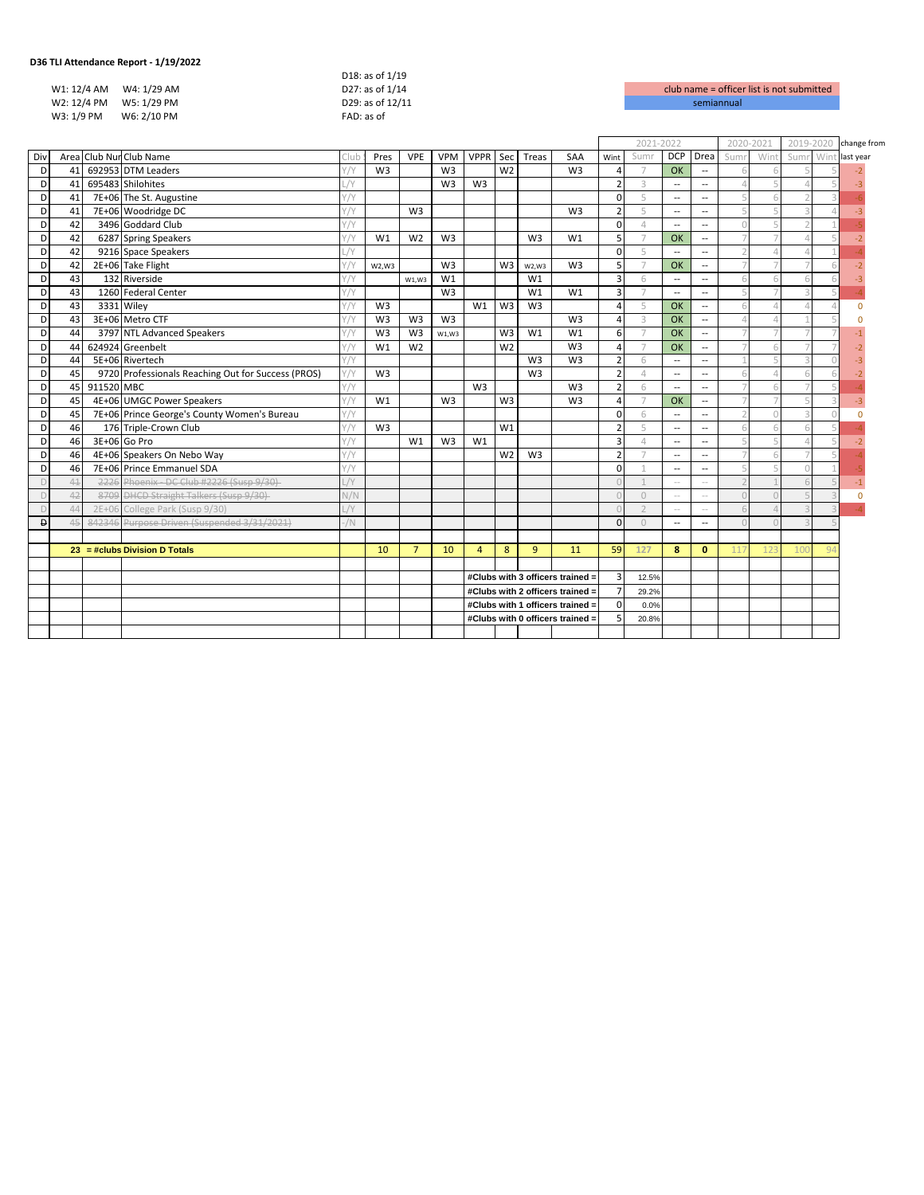|             |                         | D18: as of 1/19  |                    |
|-------------|-------------------------|------------------|--------------------|
|             | W1: 12/4 AM W4: 1/29 AM | D27: as of 1/14  | club name = office |
| W2: 12/4 PM | W5: 1/29 PM             | D29: as of 12/11 | semiannual         |
| W3: 1/9 PM  | W6: 2/10 PM             | FAD: as of       |                    |
|             |                         |                  |                    |

| club name = officer list is not submitted |
|-------------------------------------------|
| semiannual                                |

|     |         |            |                                                    |           |                |                |                |                                                                      |                |                |                                  | 2021-2022      |                          |                          |                          |                | 2020-2021 | 2019-2020 |       | change from |
|-----|---------|------------|----------------------------------------------------|-----------|----------------|----------------|----------------|----------------------------------------------------------------------|----------------|----------------|----------------------------------|----------------|--------------------------|--------------------------|--------------------------|----------------|-----------|-----------|-------|-------------|
| Div |         |            | Area Club Nur Club Name                            | Club      | Pres           | <b>VPE</b>     | <b>VPM</b>     | <b>VPPR</b>                                                          | Sec            | Treas          | SAA                              | Wint           | Sum                      | <b>DCP</b>               | Drea                     | Sum            | Win       | Sum       | Win   | last year   |
|     | D<br>41 |            | 692953 DTM Leaders                                 | Y/Y       | W <sub>3</sub> |                | W <sub>3</sub> |                                                                      | W <sub>2</sub> |                | W <sub>3</sub>                   | Δ              |                          | OK                       | --                       |                |           |           |       |             |
|     | D<br>41 |            | 695483 Shilohites                                  | /Y        |                |                | W <sub>3</sub> | W <sub>3</sub>                                                       |                |                |                                  | $\overline{z}$ | 3                        | $\overline{\phantom{a}}$ | --                       |                |           |           |       | $-3$        |
|     | D<br>41 |            | 7E+06 The St. Augustine                            | Y/Y       |                |                |                |                                                                      |                |                |                                  | $\Omega$       | 5                        | $\overline{\phantom{a}}$ | --                       |                |           |           |       |             |
|     | 41<br>D |            | 7E+06 Woodridge DC                                 | Y/Y       |                | W <sub>3</sub> |                |                                                                      |                |                | W <sub>3</sub>                   | $\overline{2}$ | 5                        | $\overline{\phantom{a}}$ | --                       | ц              |           |           |       |             |
|     | 42<br>D |            | 3496 Goddard Club                                  | Y/Y       |                |                |                |                                                                      |                |                |                                  | $\Omega$       | $\Delta$                 | $\overline{\phantom{a}}$ | --                       | $\Omega$       |           |           |       |             |
|     | 42<br>D |            | 6287 Spring Speakers                               | Y/Y       | W1             | W <sub>2</sub> | W <sub>3</sub> |                                                                      |                | W <sub>3</sub> | W1                               | 5              | $\overline{7}$           | OK                       | --                       |                |           |           |       |             |
|     | 42<br>D |            | 9216 Space Speakers                                | /V        |                |                |                |                                                                      |                |                |                                  | $\Omega$       | 5                        | $\overline{\phantom{a}}$ | --                       | $\mathcal{D}$  |           |           |       |             |
|     | 42<br>D |            | 2E+06 Take Flight                                  | Y/Y       | W2,W3          |                | W <sub>3</sub> |                                                                      | W3             | W2,W3          | W <sub>3</sub>                   | 5              | $\overline{7}$           | OK                       | --                       |                |           |           |       |             |
|     | 43<br>D |            | 132 Riverside                                      | Y/Y       |                | W1, W3         | W1             |                                                                      |                | W1             |                                  | $\overline{3}$ | 6                        | $\overline{\phantom{a}}$ | --                       | 6              |           |           |       |             |
|     | 43<br>D |            | 1260 Federal Center                                | Y/Y       |                |                | W <sub>3</sub> |                                                                      |                | W <sub>1</sub> | W1                               | $\overline{3}$ |                          | $\overline{\phantom{a}}$ | $\overline{a}$           | Ę              |           |           |       |             |
|     | 43<br>D |            | 3331 Wiley                                         | Y/Y       | W <sub>3</sub> |                |                | W1                                                                   | W3             | W <sub>3</sub> |                                  | $\Delta$       | 5                        | OK                       | $\overline{a}$           | 6              |           |           |       |             |
|     | D<br>43 |            | 3E+06 Metro CTF                                    | 1/Y       | W <sub>3</sub> | W <sub>3</sub> | W <sub>3</sub> |                                                                      |                |                | W <sub>3</sub>                   | $\overline{4}$ | $\overline{\mathcal{L}}$ | OK                       | --                       |                |           |           |       |             |
|     | 44<br>D |            | 3797 NTL Advanced Speakers                         | 1/Y       | W <sub>3</sub> | W <sub>3</sub> | W1,W3          |                                                                      | W3             | W1             | W1                               | 6              |                          | OK                       | --                       |                |           |           |       |             |
|     | D<br>44 |            | 624924 Greenbelt                                   | Y/Y       | W1             | W <sub>2</sub> |                |                                                                      | W <sub>2</sub> |                | W <sub>3</sub>                   | $\overline{a}$ |                          | OK                       | $\overline{a}$           |                |           |           |       |             |
|     | 44<br>D |            | 5E+06 Rivertech                                    | Y/Y       |                |                |                |                                                                      |                | W <sub>3</sub> | W <sub>3</sub>                   | $\overline{2}$ | 6                        | $\overline{\phantom{a}}$ | $\overline{\phantom{a}}$ |                |           |           |       |             |
|     | 45<br>D |            | 9720 Professionals Reaching Out for Success (PROS) | Y/Y       | W <sub>3</sub> |                |                |                                                                      |                | W <sub>3</sub> |                                  | $\overline{2}$ | $\Delta$                 | $\overline{\phantom{a}}$ | $\overline{\phantom{a}}$ | 6              |           |           |       |             |
|     | 45<br>D | 911520 MBC |                                                    | Y/Y       |                |                |                | W <sub>3</sub>                                                       |                |                | W <sub>3</sub>                   | $\overline{2}$ | 6                        | $\overline{a}$           | --                       | J.             |           |           |       |             |
|     | 45<br>D |            | 4E+06 UMGC Power Speakers                          | Y/Y       | W1             |                | W <sub>3</sub> |                                                                      | W <sub>3</sub> |                | W <sub>3</sub>                   | $\Delta$       |                          | OK                       | --                       |                |           |           |       | -3          |
|     | 45<br>D |            | 7E+06 Prince George's County Women's Bureau        | Y/Y       |                |                |                |                                                                      |                |                |                                  | $\Omega$       | 6                        | $\overline{\phantom{a}}$ | −−                       | $\overline{1}$ |           |           |       |             |
|     | 46<br>D |            | 176 Triple-Crown Club                              | Y/Y       | W <sub>3</sub> |                |                |                                                                      | W1             |                |                                  | $\overline{2}$ | 5                        | $\overline{\phantom{a}}$ | $\overline{\phantom{a}}$ | 6              |           |           |       |             |
|     | 46<br>D |            | 3E+06 Go Pro                                       | Y/Y       |                | W1             | W <sub>3</sub> | W1                                                                   |                |                |                                  | $\overline{3}$ | $\Delta$                 | $\overline{\phantom{a}}$ | --                       | 5              |           |           |       |             |
|     | D<br>46 |            | 4E+06 Speakers On Nebo Way                         | Y/Y       |                |                |                |                                                                      | W <sub>2</sub> | W <sub>3</sub> |                                  | $\overline{2}$ |                          | $\overline{\phantom{a}}$ | --                       |                |           |           |       |             |
|     | 46<br>D |            | 7E+06 Prince Emmanuel SDA                          | Y/Y       |                |                |                |                                                                      |                |                |                                  | $\Omega$       |                          | $\overline{\phantom{a}}$ | −−                       | 5              |           |           |       |             |
|     | 41<br>D |            | 2226 Phoenix - DC Club #2226 (Susp 9/30)           | $\sqrt{}$ |                |                |                |                                                                      |                |                |                                  |                |                          | $\sim$                   | $\sim$                   |                |           |           |       |             |
|     | 42<br>D |            | 8709 DHCD Straight Talkers (Susp 9/30)             | N/N       |                |                |                |                                                                      |                |                |                                  |                | $\bigcirc$               | $\sim$                   | $\overline{\phantom{a}}$ | $\bigcap$      |           |           |       |             |
|     | 44<br>D |            | 2E+06 College Park (Susp 9/30)                     | /Y        |                |                |                |                                                                      |                |                |                                  |                |                          | $\sim$                   | $\overline{a}$           | 6              |           |           |       |             |
|     | Đ<br>45 |            | 842346 Purpose Driven (Suspended 3/31/2021)        | /N        |                |                |                |                                                                      |                |                |                                  | $\Omega$       | $\Omega$                 | $\overline{\phantom{a}}$ | $\overline{\phantom{a}}$ | $\cap$         |           |           |       |             |
|     |         |            |                                                    |           |                |                |                |                                                                      |                |                |                                  |                |                          |                          |                          |                |           |           |       |             |
|     |         |            | $23 = # clubs Division D Totals$                   |           | 10             | $\overline{7}$ | 10             | $\overline{4}$                                                       | 8              | 9              | 11                               | 59             | 127                      | 8                        | $\mathbf{0}$             | 117            |           | 10(       | $Q_2$ |             |
|     |         |            |                                                    |           |                |                |                |                                                                      |                |                |                                  |                |                          |                          |                          |                |           |           |       |             |
|     |         |            |                                                    |           |                |                |                |                                                                      |                |                | #Clubs with 3 officers trained = | $\overline{3}$ | 12.5%                    |                          |                          |                |           |           |       |             |
|     |         |            |                                                    |           |                |                |                |                                                                      |                |                | #Clubs with 2 officers trained = | $\overline{7}$ | 29.2%                    |                          |                          |                |           |           |       |             |
|     |         |            |                                                    |           |                |                |                | #Clubs with 1 officers trained =<br>#Clubs with 0 officers trained = |                | $\Omega$       | 0.0%                             |                |                          |                          |                          |                |           |           |       |             |
|     |         |            |                                                    |           |                |                |                |                                                                      |                |                |                                  | 5              | 20.8%                    |                          |                          |                |           |           |       |             |
|     |         |            |                                                    |           |                |                |                |                                                                      |                |                |                                  |                |                          |                          |                          |                |           |           |       |             |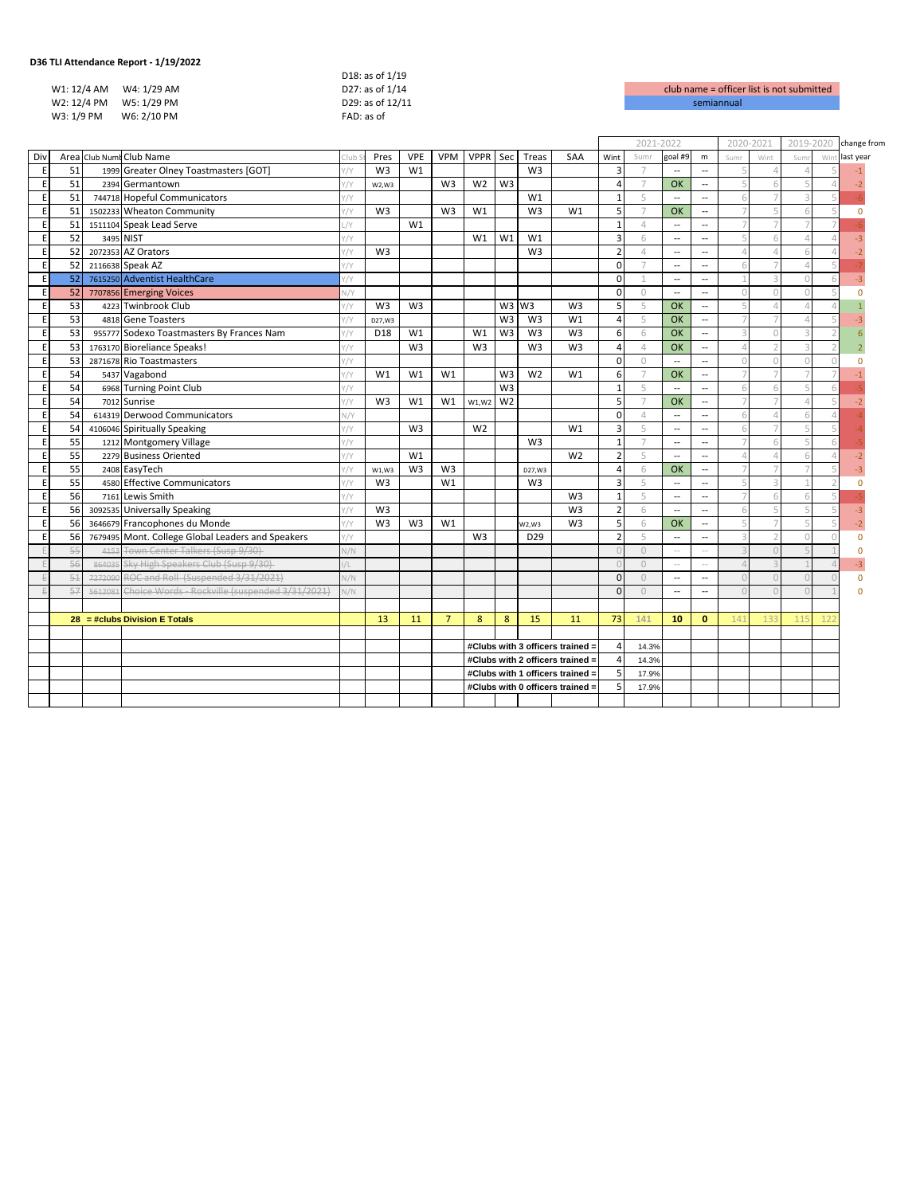|             | 36 TLI Attendance Report - 1/19/2022 |                  |                    |
|-------------|--------------------------------------|------------------|--------------------|
|             |                                      | D18: as of 1/19  |                    |
| W1: 12/4 AM | W4: 1/29 AM                          | D27: as of 1/14  | club name = office |
|             | W2: 12/4 PM W5: 1/29 PM              | D29: as of 12/11 | semiannual         |
| W3: 1/9 PM  | W6: 2/10 PM                          | FAD: as of       |                    |
|             |                                      |                  |                    |

| club name = officer list is not submitted |
|-------------------------------------------|
| semiannual                                |

|         |    |         |                                                   |            |                |                |                |                |                |                 |                                  |                | 2021-2022      |                          |                          |                          | 2020-2021 | 2019-2020 |     | change from |
|---------|----|---------|---------------------------------------------------|------------|----------------|----------------|----------------|----------------|----------------|-----------------|----------------------------------|----------------|----------------|--------------------------|--------------------------|--------------------------|-----------|-----------|-----|-------------|
| Div     |    |         | Area Club Numt Club Name                          | Club       | Pres           | <b>VPE</b>     | <b>VPM</b>     | VPPR Sec       |                | Treas           | SAA                              | Wint           | Sumr           | goal #9                  | m                        | Sumr                     | Wint      | Sum       | Wir | last year   |
| E       | 51 |         | 1999 Greater Olney Toastmasters [GOT]             | $\gamma$   | W <sub>3</sub> | W1             |                |                |                | W <sub>3</sub>  |                                  | $\overline{3}$ | $\overline{7}$ | $\overline{a}$           | $\overline{\phantom{a}}$ |                          |           |           |     |             |
| E       | 51 |         | 2394 Germantown                                   | $\gamma$   | W2,W3          |                | W <sub>3</sub> | W <sub>2</sub> | W <sub>3</sub> |                 |                                  | $\overline{4}$ | $\overline{7}$ | OK                       | $\overline{\phantom{a}}$ | 5                        |           |           |     | -2          |
| E       | 51 |         | 744718 Hopeful Communicators                      | '/Y        |                |                |                |                |                | W1              |                                  | $\mathbf{1}$   | 5              | $\overline{\phantom{a}}$ | $\overline{a}$           | 6                        |           |           |     |             |
| E       | 51 |         | 1502233 Wheaton Community                         | '/Y        | W3             |                | W <sub>3</sub> | W1             |                | W3              | W1                               | 5              | $\overline{7}$ | <b>OK</b>                | --                       |                          |           |           |     | $\Omega$    |
| $\sf E$ | 51 |         | 1511104 Speak Lead Serve                          | /Y         |                | W1             |                |                |                |                 |                                  | $\mathbf{1}$   | 4              | $\overline{a}$           | $\overline{\phantom{a}}$ |                          |           |           |     |             |
| E       | 52 |         | 3495 NIST                                         | '/Y        |                |                |                | W1             | W1             | W1              |                                  | $\overline{3}$ | 6              | $\overline{\phantom{a}}$ | $\overline{\phantom{a}}$ |                          |           |           |     |             |
| E       | 52 |         | 2072353 AZ Orators                                | $\gamma$   | W <sub>3</sub> |                |                |                |                | W <sub>3</sub>  |                                  | $\overline{2}$ | 4              | $\overline{\phantom{a}}$ | $\overline{\phantom{a}}$ | $\Delta$                 |           |           |     |             |
| E       | 52 |         | 2116638 Speak AZ                                  | '/Y        |                |                |                |                |                |                 |                                  | $\Omega$       |                | $\overline{\phantom{a}}$ | $\overline{\phantom{a}}$ | 6                        |           |           |     |             |
| E       | 52 |         | 7615250 Adventist HealthCare                      | 1/Y        |                |                |                |                |                |                 |                                  | $\Omega$       | $\mathbf 1$    | $\overline{a}$           | $\overline{a}$           |                          |           |           |     |             |
| E       | 52 |         | 7707856 Emerging Voices                           | $\sqrt{Y}$ |                |                |                |                |                |                 |                                  | $\mathbf 0$    | $\circ$        | $\overline{a}$           | $\overline{\phantom{a}}$ | $\Omega$                 |           |           |     |             |
| E       | 53 |         | 4223 Twinbrook Club                               | '/Y        | W <sub>3</sub> | W <sub>3</sub> |                |                |                | W3 W3           | W <sub>3</sub>                   | 5              | 5              | OK                       | $\overline{\phantom{a}}$ | $\overline{5}$           |           |           |     |             |
| E       | 53 |         | 4818 Gene Toasters                                | '/Y        | D27, W3        |                |                |                | W <sub>3</sub> | W <sub>3</sub>  | W1                               | $\overline{4}$ | 5              | <b>OK</b>                | $\overline{\phantom{a}}$ | 7                        |           |           |     |             |
| E       | 53 |         | 955777 Sodexo Toastmasters By Frances Nam         | '/Y        | D18            | W1             |                | W1             | W3             | W <sub>3</sub>  | W <sub>3</sub>                   | 6              | 6              | <b>OK</b>                | $\overline{\phantom{a}}$ | $\overline{\mathcal{L}}$ |           |           |     |             |
| $\sf E$ | 53 |         | 1763170 Bioreliance Speaks!                       | '/Y        |                | W <sub>3</sub> |                | W <sub>3</sub> |                | W <sub>3</sub>  | W <sub>3</sub>                   | $\overline{4}$ | $\varDelta$    | OK                       | $\overline{\phantom{a}}$ | $\Delta$                 |           |           |     |             |
| Ε       | 53 |         | 2871678 Rio Toastmasters                          | '/Y        |                |                |                |                |                |                 |                                  | $\Omega$       | $\bigcirc$     | $\overline{\phantom{a}}$ | --                       | $\cap$                   |           |           |     |             |
| E       | 54 |         | 5437 Vagabond                                     | $\gamma$   | W1             | W1             | W1             |                | W3             | W <sub>2</sub>  | W1                               | 6              | $\overline{7}$ | OK                       | $\overline{a}$           | 7                        |           |           |     |             |
| E       | 54 |         | 6968 Turning Point Club                           | '/Y        |                |                |                |                | W <sub>3</sub> |                 |                                  | $\overline{1}$ | 5              | $\overline{\phantom{a}}$ | $\overline{\phantom{a}}$ | 6                        |           |           |     |             |
| E       | 54 |         | 7012 Sunrise                                      | '/Y        | W <sub>3</sub> | W1             | W1             | W1, W2         | W <sub>2</sub> |                 |                                  | 5              | $\overline{7}$ | OK                       | $\overline{\phantom{a}}$ | 7                        |           |           |     |             |
| E       | 54 |         | 614319 Derwood Communicators                      | V/Y        |                |                |                |                |                |                 |                                  | $\mathbf 0$    | 4              | $\overline{a}$           | $\overline{\phantom{a}}$ | 6                        |           |           |     |             |
| E       | 54 |         | 4106046 Spiritually Speaking                      | '/Y        |                | W <sub>3</sub> |                | W <sub>2</sub> |                |                 | W1                               | $\overline{3}$ | 5              | $\overline{\phantom{a}}$ | $\overline{\phantom{a}}$ | 6                        |           |           |     |             |
| E       | 55 |         | 1212 Montgomery Village                           | $\gamma$   |                |                |                |                |                | W <sub>3</sub>  |                                  | $\overline{1}$ |                | $\overline{\phantom{a}}$ | $\overline{\phantom{a}}$ |                          |           |           |     |             |
| E       | 55 |         | 2279 Business Oriented                            | $\gamma$   |                | W1             |                |                |                |                 | W <sub>2</sub>                   | $\overline{2}$ | 5              | $\overline{a}$           | $\overline{a}$           | $\Delta$                 |           |           |     |             |
| $\sf E$ | 55 |         | 2408 EasyTech                                     | '/Y        | W1,W3          | W <sub>3</sub> | W <sub>3</sub> |                |                | D27.W3          |                                  | $\overline{4}$ | 6              | <b>OK</b>                | $\overline{\phantom{a}}$ |                          |           |           |     |             |
| E       | 55 |         | 4580 Effective Communicators                      | $\gamma$   | W <sub>3</sub> |                | W1             |                |                | W <sub>3</sub>  |                                  | $\overline{3}$ | 5              | $\overline{\phantom{a}}$ | $\overline{\phantom{a}}$ | 5                        |           |           |     | $\Omega$    |
| E       | 56 |         | 7161 Lewis Smith                                  | $\gamma$   |                |                |                |                |                |                 | W <sub>3</sub>                   | $\mathbf{1}$   | 5              | $\overline{\phantom{a}}$ | $\overline{\phantom{a}}$ | 7                        |           |           |     |             |
| E       | 56 |         | 3092535 Universally Speaking                      | $\gamma$   | W <sub>3</sub> |                |                |                |                |                 | W <sub>3</sub>                   | $\overline{2}$ | 6              | $\overline{\phantom{a}}$ | $\overline{\phantom{a}}$ | 6                        |           |           |     | $-3$        |
| E       | 56 |         | 3646679 Francophones du Monde                     | //Y        | W <sub>3</sub> | W <sub>3</sub> | W1             |                |                | W2,W3           | W <sub>3</sub>                   | 5              | 6              | OK                       | $\overline{\phantom{a}}$ | 5                        |           |           |     |             |
| E       | 56 |         | 7679495 Mont. College Global Leaders and Speakers | '/Y        |                |                |                | W <sub>3</sub> |                | D <sub>29</sub> |                                  | $\overline{2}$ | 5              | $\qquad \qquad -$        | $\overline{\phantom{a}}$ |                          |           |           |     | $\Omega$    |
|         | 55 |         | 4153 Town Center Talkers (Susp 9/30)              | V/N        |                |                |                |                |                |                 |                                  |                | $\circ$        | $\overline{a}$           | $\sim$ $-$               | $\overline{3}$           |           |           |     | $\Omega$    |
|         | 56 | 864035  | Sky High Speakers Club (Susp 9/30)                | /L         |                |                |                |                |                |                 |                                  |                | $\cup$         | $\sim$ $-$               | $\sim$ $-$               | $\Delta$                 |           |           |     | $-3$        |
|         | 51 |         | 7272090 ROC and Roll (Suspended 3/31/2021)        | N/N        |                |                |                |                |                |                 |                                  | $\Omega$       | $\circ$        | $\overline{\phantom{a}}$ | $\overline{\phantom{a}}$ | $\Omega$                 |           |           |     | $\Omega$    |
|         | 57 | 5612081 | Choice Words - Rockville (suspended 3/31/2021)    | V/N        |                |                |                |                |                |                 |                                  | $\Omega$       | $\circ$        | $\overline{\phantom{a}}$ | $\overline{\phantom{a}}$ | $\Omega$                 |           |           |     | $\Omega$    |
|         |    |         |                                                   |            |                |                |                |                |                |                 |                                  |                |                |                          |                          |                          |           |           |     |             |
|         |    |         | $28 = # clubs Division E Totals$                  |            | 13             | 11             | $\overline{7}$ | 8              | 8              | 15              | 11                               | 73             | 141            | 10                       | $\mathbf{0}$             | 141                      |           | 11!       |     |             |
|         |    |         |                                                   |            |                |                |                |                |                |                 |                                  |                |                |                          |                          |                          |           |           |     |             |
|         |    |         |                                                   |            |                |                |                |                |                |                 | #Clubs with 3 officers trained = | $\overline{4}$ | 14.3%          |                          |                          |                          |           |           |     |             |
|         |    |         |                                                   |            |                |                |                |                |                |                 | #Clubs with 2 officers trained = | $\overline{a}$ | 14.3%          |                          |                          |                          |           |           |     |             |
|         |    |         |                                                   |            |                |                |                |                |                |                 | #Clubs with 1 officers trained = | 5              | 17.9%          |                          |                          |                          |           |           |     |             |
|         |    |         |                                                   |            |                |                |                |                |                |                 | #Clubs with 0 officers trained = | 5              | 17.9%          |                          |                          |                          |           |           |     |             |
|         |    |         |                                                   |            |                |                |                |                |                |                 |                                  |                |                |                          |                          |                          |           |           |     |             |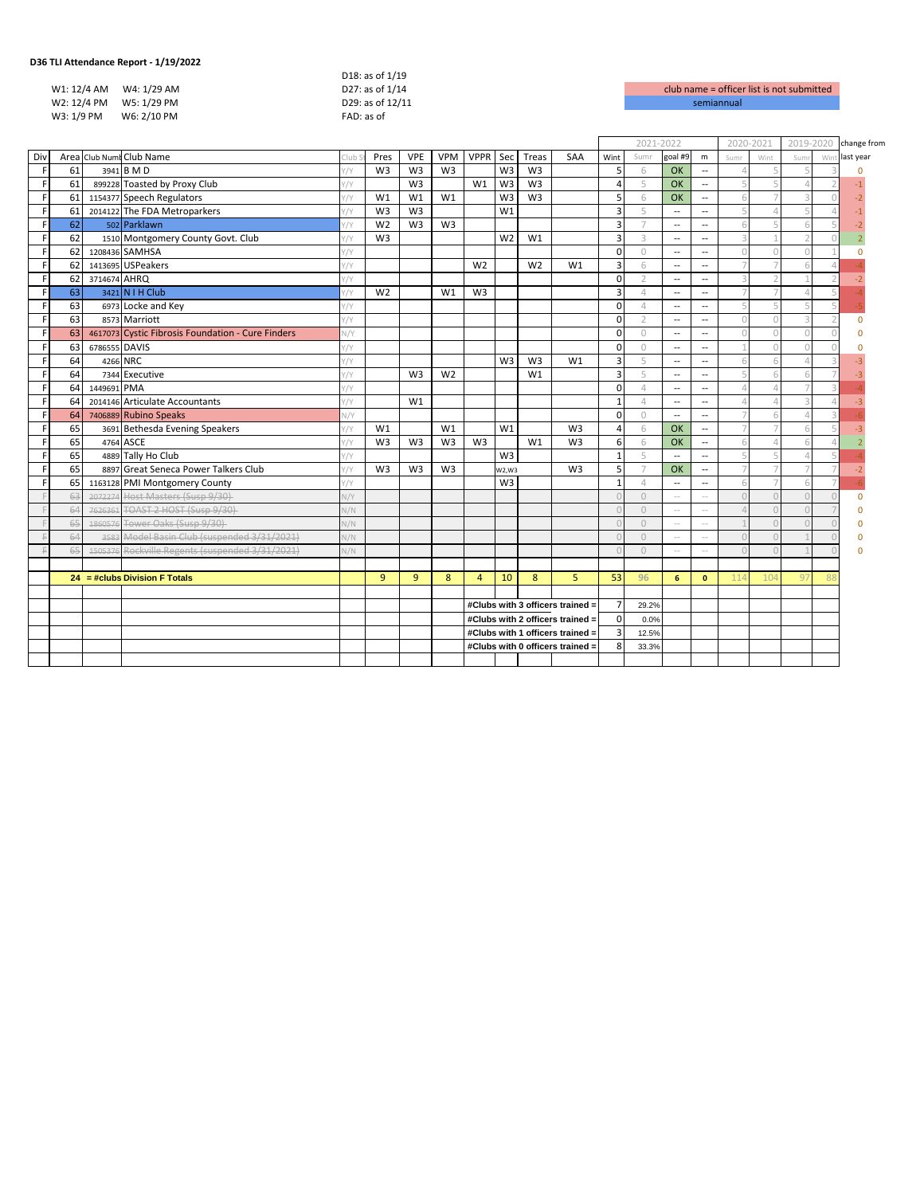|             |             | D18: as of 1/19  |  |
|-------------|-------------|------------------|--|
| W1: 12/4 AM | W4: 1/29 AM | D27: as of 1/14  |  |
| W2: 12/4 PM | W5: 1/29 PM | D29: as of 12/11 |  |
| W3: 1/9 PM  | W6: 2/10 PM | FAD: as of       |  |
|             |             |                  |  |

| club name = officer list is not submitted |
|-------------------------------------------|
| semiannual                                |

|     |    |               |                                                   |               |                |                |                |                                  |                |                |                | 2021-2022               |                |                          |                          |               | 2020-2021 | 2019-2020 |     | change from |
|-----|----|---------------|---------------------------------------------------|---------------|----------------|----------------|----------------|----------------------------------|----------------|----------------|----------------|-------------------------|----------------|--------------------------|--------------------------|---------------|-----------|-----------|-----|-------------|
| Div |    |               | Area Club Numi Club Name                          | :lub          | Pres           | <b>VPE</b>     | <b>VPM</b>     | VPPR Sec                         |                | Treas          | SAA            | Wint                    | Sumr           | goal #9                  | ${\sf m}$                | Sumr          | Wint      | Sum       | Wir | last year   |
| F   | 61 |               | 3941 B M D                                        | '/Y           | W <sub>3</sub> | W <sub>3</sub> | W <sub>3</sub> |                                  | W3             | W <sub>3</sub> |                | 5                       | 6              | <b>OK</b>                | $\overline{a}$           |               |           |           |     | n           |
| F   | 61 |               | 899228 Toasted by Proxy Club                      | '/Y           |                | W <sub>3</sub> |                | W1                               | W3             | W <sub>3</sub> |                | $\overline{a}$          | 5              | OK                       | $\overline{\phantom{a}}$ | ц             |           |           |     |             |
| F   | 61 |               | 1154377 Speech Regulators                         | $\gamma$      | W1             | W <sub>1</sub> | W1             |                                  | W <sub>3</sub> | W <sub>3</sub> |                | 5                       | 6              | <b>OK</b>                | $\overline{\phantom{a}}$ | 6             |           |           |     | $-2$        |
| F   | 61 |               | 2014122 The FDA Metroparkers                      | /y            | W <sub>3</sub> | W <sub>3</sub> |                |                                  | W1             |                |                | $\overline{\mathbf{3}}$ | 5              | $\overline{\phantom{a}}$ | $\overline{\phantom{a}}$ | Д             |           |           |     | $-1$        |
| F   | 62 |               | 502 Parklawn                                      | $1/\gamma$    | W <sub>2</sub> | W <sub>3</sub> | W <sub>3</sub> |                                  |                |                |                | $\overline{3}$          | $\overline{7}$ | $\overline{\phantom{a}}$ | $\overline{a}$           | 6             |           |           |     | $-2$        |
| F   | 62 |               | 1510 Montgomery County Govt. Club                 | $\gamma$      | W <sub>3</sub> |                |                |                                  | W <sub>2</sub> | W1             |                | $\overline{3}$          | 3              | $\overline{\phantom{a}}$ | $\overline{a}$           | 3             |           |           |     |             |
| F   | 62 |               | 1208436 SAMHSA                                    | $\sqrt{}$     |                |                |                |                                  |                |                |                | $\Omega$                | $\bigcirc$     | $\overline{\phantom{a}}$ | $\overline{\phantom{a}}$ | $\Omega$      |           |           |     | $\Omega$    |
| F   | 62 |               | 1413695 USPeakers                                 | '/Y           |                |                |                | W <sub>2</sub>                   |                | W <sub>2</sub> | W1             | $\overline{3}$          | 6              | $\overline{\phantom{m}}$ | --                       |               |           |           |     |             |
| F   | 62 | 3714674 AHRQ  |                                                   | $\gamma$      |                |                |                |                                  |                |                |                | $\Omega$                | $\overline{2}$ | $\overline{\phantom{a}}$ | $\overline{\phantom{a}}$ | $\mathcal{R}$ |           |           |     |             |
| F   | 63 |               | 3421 N I H Club                                   | $\frac{1}{1}$ | W <sub>2</sub> |                | W1             | W <sub>3</sub>                   |                |                |                | $\overline{3}$          | $\varDelta$    | $\overline{\phantom{a}}$ | $\overline{\phantom{a}}$ |               |           |           |     |             |
| F   | 63 |               | 6973 Locke and Key                                | $\gamma$      |                |                |                |                                  |                |                |                | $\Omega$                | $\overline{4}$ | $\overline{\phantom{a}}$ | $\overline{\phantom{a}}$ | 5             |           |           |     |             |
| F   | 63 |               | 8573 Marriott                                     | '/Y           |                |                |                |                                  |                |                |                | $\Omega$                | $\mathcal{D}$  | $\overline{\phantom{a}}$ | $\overline{\phantom{a}}$ | $\bigcap$     |           |           |     | n           |
| F   | 63 |               | 4617073 Cystic Fibrosis Foundation - Cure Finders | N/Y           |                |                |                |                                  |                |                |                | $\Omega$                | $\Omega$       | $\overline{\phantom{a}}$ | $\overline{\phantom{a}}$ | $\Omega$      |           |           |     |             |
| F   | 63 | 6786555 DAVIS |                                                   | $\gamma$      |                |                |                |                                  |                |                |                | $\Omega$                | $\bigcirc$     | $\overline{a}$           | $\overline{a}$           |               |           |           |     |             |
| F   | 64 |               | 4266 NRC                                          | $\sqrt{}$     |                |                |                |                                  | W3             | W <sub>3</sub> | W1             | $\overline{3}$          | 5              | $\overline{\phantom{a}}$ | $\overline{a}$           | 6             |           |           |     |             |
| F   | 64 |               | 7344 Executive                                    | '/Y           |                | W <sub>3</sub> | W <sub>2</sub> |                                  |                | W1             |                | $\overline{3}$          | 5              | $\overline{\phantom{a}}$ | $\overline{\phantom{a}}$ | ц             |           |           |     |             |
| F   | 64 | 1449691 PMA   |                                                   | $\sqrt{}$     |                |                |                |                                  |                |                |                | $\Omega$                | $\Delta$       | $\overline{\phantom{a}}$ | $\overline{\phantom{a}}$ | $\Delta$      |           |           |     |             |
| F   | 64 |               | 2014146 Articulate Accountants                    | '/Y           |                | W <sub>1</sub> |                |                                  |                |                |                | $\mathbf{1}$            | $\Delta$       | $\overline{\phantom{a}}$ | $\overline{\phantom{a}}$ | Δ             |           |           |     |             |
| F   | 64 |               | 7406889 Rubino Speaks                             | N/Y           |                |                |                |                                  |                |                |                | $\mathbf 0$             | $\circ$        | $\overline{\phantom{m}}$ | $\overline{\phantom{a}}$ |               |           |           |     |             |
| F   | 65 |               | 3691 Bethesda Evening Speakers                    | '/Y           | W1             |                | W1             |                                  | W1             |                | W <sub>3</sub> | $\overline{4}$          | 6              | <b>OK</b>                | $\overline{\phantom{a}}$ |               |           |           |     |             |
| F   | 65 |               | 4764 ASCE                                         | '/Y           | W <sub>3</sub> | W <sub>3</sub> | W <sub>3</sub> | W <sub>3</sub>                   |                | W1             | W <sub>3</sub> | 6                       | 6              | <b>OK</b>                | $\overline{\phantom{a}}$ | 6             |           |           |     |             |
| F   | 65 |               | 4889 Tally Ho Club                                | $\gamma$      |                |                |                |                                  | W <sub>3</sub> |                |                | $\mathbf{1}$            | 5              | $\overline{a}$           | $\overline{\phantom{a}}$ | 5             |           |           |     |             |
| F   | 65 |               | 8897 Great Seneca Power Talkers Club              | $\gamma$      | W <sub>3</sub> | W <sub>3</sub> | W <sub>3</sub> |                                  | W2,W3          |                | W <sub>3</sub> | 5                       |                | <b>OK</b>                | $\overline{\phantom{a}}$ |               |           |           |     |             |
| F   | 65 |               | 1163128 PMI Montgomery County                     | '/Y           |                |                |                |                                  | W <sub>3</sub> |                |                | $\mathbf{1}$            | $\overline{4}$ | $\qquad \qquad -$        | $\overline{\phantom{a}}$ | 6             |           |           |     |             |
|     | 63 |               | 2072274 Host Masters (Susp 9/30)                  | $\sqrt{Y}$    |                |                |                |                                  |                |                |                |                         | $\bigcirc$     | $\sim$ $-$               | $\sim$ $-$               | $\cap$        |           |           |     | n           |
|     | 64 |               | 7626361 TOAST 2 HOST (Susp 9/30)                  | N/N           |                |                |                |                                  |                |                |                |                         | $\Omega$       | $\sim$ $-$               | $\sim$ $\sim$            |               |           |           |     |             |
|     | 65 |               | 1860576 Tower Oaks (Susp 9/30)                    | N/N           |                |                |                |                                  |                |                |                |                         | $\Omega$       | $\sim$                   | $\sim$                   |               |           |           |     |             |
|     | 64 |               | 3583 Model Basin Club (suspended 3/31/2021)       | N/N           |                |                |                |                                  |                |                |                |                         | $\bigcirc$     | $\sim$                   | $\sim$ $\sim$            | $\cap$        |           |           |     |             |
|     | 65 |               | 1505376 Rockville Regents (suspended 3/31/2021)   | V/N           |                |                |                |                                  |                |                |                | $\sqrt{ }$              | $\Omega$       | $\sim$                   | $\overline{a}$           | $\bigcap$     |           |           |     |             |
|     |    |               |                                                   |               |                |                |                |                                  |                |                |                |                         |                |                          |                          |               |           |           |     |             |
|     |    |               | $24 = # clubs Division F Totals$                  |               | 9              | 9              | 8              | $\overline{4}$                   | 10             | 8              | 5              | 53                      | 96             | 6                        | $\mathbf{0}$             | 114           | 104       | $Q^*$     |     |             |
|     |    |               |                                                   |               |                |                |                |                                  |                |                |                |                         |                |                          |                          |               |           |           |     |             |
|     |    |               |                                                   |               |                |                |                | #Clubs with 3 officers trained = |                |                |                |                         | 29.2%          |                          |                          |               |           |           |     |             |
|     |    |               |                                                   |               |                |                |                | #Clubs with 2 officers trained = |                |                |                |                         | 0.0%           |                          |                          |               |           |           |     |             |
|     |    |               |                                                   |               |                |                |                | #Clubs with 1 officers trained = |                |                |                | $\overline{3}$          | 12.5%          |                          |                          |               |           |           |     |             |
|     |    |               |                                                   |               |                |                |                | #Clubs with 0 officers trained = |                |                |                | 8                       | 33.3%          |                          |                          |               |           |           |     |             |
|     |    |               |                                                   |               |                |                |                |                                  |                |                |                |                         |                |                          |                          |               |           |           |     |             |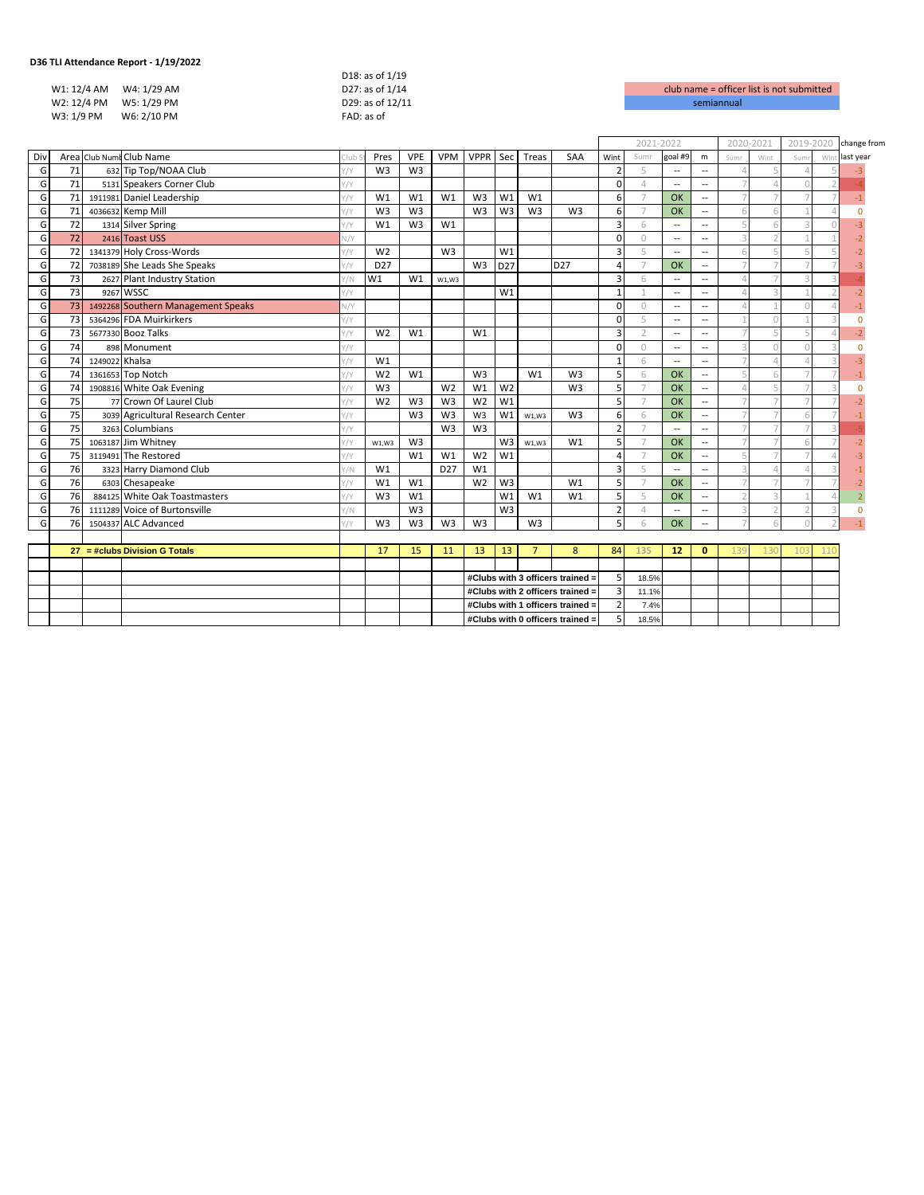| 36 TLI Attendance Report - 1/19/2022 |                  |                    |
|--------------------------------------|------------------|--------------------|
|                                      | D18: as of 1/19  |                    |
| W1: 12/4 AM<br>W4: 1/29 AM           | D27: as of 1/14  | club name = office |
| W2: 12/4 PM W5: 1/29 PM              | D29: as of 12/11 | semiannual         |
| W3: 1/9 PM<br>W6: 2/10 PM            | FAD: as of       |                    |
|                                      |                  |                    |

| club name = officer list is not submitted |
|-------------------------------------------|
| semiannual                                |

|     |    |                |                                    |               |                 |                |                 |                                  |                 |                |                                  |                         | 2021-2022      |                          |                          | 2020-2021                |      | 2019-2020    |     | change from |
|-----|----|----------------|------------------------------------|---------------|-----------------|----------------|-----------------|----------------------------------|-----------------|----------------|----------------------------------|-------------------------|----------------|--------------------------|--------------------------|--------------------------|------|--------------|-----|-------------|
| Div |    |                | Area Club Numt Club Name           | Club          | Pres            | <b>VPE</b>     | <b>VPM</b>      |                                  |                 | VPPR Sec Treas | <b>SAA</b>                       | Wint                    | Sumr           | goal #9                  | m                        | Sumr                     | Wint | Sum          | Wir | last year   |
| G   | 71 |                | 632 Tip Top/NOAA Club              | 1/Y           | W <sub>3</sub>  | W <sub>3</sub> |                 |                                  |                 |                |                                  | $\overline{2}$          | 5              | $\overline{\phantom{a}}$ | $\overline{\phantom{a}}$ |                          |      |              |     |             |
| G   | 71 |                | 5131 Speakers Corner Club          | 1/Y           |                 |                |                 |                                  |                 |                |                                  | $\mathbf 0$             | $\overline{4}$ | $\sim$                   | $\overline{a}$           |                          |      |              |     |             |
| G   | 71 |                | 1911981 Daniel Leadership          | $\sqrt{Y}$    | W1              | W1             | W1              | W <sub>3</sub>                   | W1              | W1             |                                  | 6                       |                | OK                       | $\overline{\phantom{a}}$ |                          |      |              |     | $-1$        |
| G   | 71 |                | 4036632 Kemp Mill                  | $\frac{1}{2}$ | W <sub>3</sub>  | W <sub>3</sub> |                 | W <sub>3</sub>                   | W <sub>3</sub>  | W <sub>3</sub> | W <sub>3</sub>                   | 6                       |                | OK                       | $\overline{a}$           | 6                        |      |              |     | $\Omega$    |
| G   | 72 |                | 1314 Silver Spring                 | $\frac{1}{1}$ | W1              | W <sub>3</sub> | W1              |                                  |                 |                |                                  | $\overline{\mathbf{3}}$ | 6              | $\overline{\phantom{a}}$ | $\overline{\phantom{a}}$ | 5                        |      |              |     |             |
| G   | 72 |                | 2416 Toast USS                     | V/Y           |                 |                |                 |                                  |                 |                |                                  | $\Omega$                | $\bigcirc$     | $\overline{\phantom{a}}$ | $\overline{\phantom{a}}$ | $\mathbf{R}$             |      |              |     |             |
| G   | 72 |                | 1341379 Holy Cross-Words           | $\frac{1}{2}$ | W <sub>2</sub>  |                | W <sub>3</sub>  |                                  | W <sub>1</sub>  |                |                                  | $\overline{3}$          | 5              | $\sim$                   | $\overline{a}$           | 6                        |      |              |     |             |
| G   | 72 |                | 7038189 She Leads She Speaks       | $\frac{1}{2}$ | D <sub>27</sub> |                |                 | W <sub>3</sub>                   | D <sub>27</sub> |                | D <sub>27</sub>                  | 4                       |                | OK                       | $\overline{\phantom{a}}$ |                          |      |              |     |             |
| G   | 73 |                | 2627 Plant Industry Station        | $\sqrt{}$     | W1              | W1             | W1,W3           |                                  |                 |                |                                  | $\overline{3}$          | 6              | $\overline{\phantom{a}}$ | $\overline{\phantom{a}}$ | $\Delta$                 |      |              |     |             |
| G   | 73 |                | 9267 WSSC                          | 1/1           |                 |                |                 |                                  | W1              |                |                                  | $\overline{1}$          |                | $\overline{\phantom{a}}$ | $\overline{\phantom{a}}$ | $\Delta$                 |      |              |     |             |
| G   | 73 |                | 1492268 Southern Management Speaks | $\sqrt{Y}$    |                 |                |                 |                                  |                 |                |                                  | $\Omega$                | $\Omega$       | $\sim$                   | $\overline{a}$           | $\Delta$                 |      |              |     |             |
| G   | 73 |                | 5364296 FDA Muirkirkers            | 1/1           |                 |                |                 |                                  |                 |                |                                  | $\Omega$                | $\overline{a}$ | $\sim$                   | $\overline{a}$           |                          |      |              |     | $\Omega$    |
| G   | 73 |                | 5677330 Booz Talks                 | $\frac{1}{1}$ | W <sub>2</sub>  | W1             |                 | W1                               |                 |                |                                  | $\overline{\mathbf{3}}$ | $\bigcirc$     | $\overline{\phantom{a}}$ | $\overline{\phantom{a}}$ |                          |      |              |     | $-2$        |
| G   | 74 |                | 898 Monument                       | Y/Y           |                 |                |                 |                                  |                 |                |                                  | $\Omega$                | $\Omega$       | $\overline{\phantom{a}}$ | $\overline{\phantom{a}}$ | 3                        |      |              |     | $\Omega$    |
| G   | 74 | 1249022 Khalsa |                                    | $\sqrt{Y}$    | W1              |                |                 |                                  |                 |                |                                  | $\mathbf{1}$            | 6              | $\overline{\phantom{a}}$ | $\overline{\phantom{a}}$ | $\overline{7}$           |      |              |     |             |
| G   | 74 |                | 1361653 Top Notch                  | $\sqrt{Y}$    | W <sub>2</sub>  | W1             |                 | W <sub>3</sub>                   |                 | W1             | W <sub>3</sub>                   | 5                       | 6              | OK                       | $\overline{\phantom{a}}$ | 5                        |      |              |     |             |
| G   | 74 |                | 1908816 White Oak Evening          | 1/Y           | W <sub>3</sub>  |                | W <sub>2</sub>  | W1                               | W <sub>2</sub>  |                | W <sub>3</sub>                   | 5                       |                | OK                       | $\overline{\phantom{a}}$ | $\Lambda$                |      |              |     | $\Omega$    |
| G   | 75 |                | 77 Crown Of Laurel Club            | $\sqrt{Y}$    | W <sub>2</sub>  | W <sub>3</sub> | W <sub>3</sub>  | W <sub>2</sub>                   | W1              |                |                                  | 5                       | $\overline{7}$ | OK                       | $\overline{\phantom{a}}$ | $\overline{7}$           |      |              |     |             |
| G   | 75 |                | 3039 Agricultural Research Center  | 1/Y           |                 | W <sub>3</sub> | W <sub>3</sub>  | W <sub>3</sub>                   | W1              | W1.W3          | W <sub>3</sub>                   | 6                       | 6              | OK                       | $\overline{\phantom{a}}$ |                          |      |              |     |             |
| G   | 75 |                | 3263 Columbians                    | $\sqrt{Y}$    |                 |                | W <sub>3</sub>  | W <sub>3</sub>                   |                 |                |                                  | $\overline{2}$          |                | $\sim$                   | $\overline{a}$           |                          |      |              |     |             |
| G   | 75 |                | 1063187 Jim Whitney                | Y/Y           | W1.W3           | W <sub>3</sub> |                 |                                  | W3              | W1.W3          | W1                               | 5                       |                | OK                       | $\overline{\phantom{a}}$ |                          |      |              |     | $-2$        |
| G   | 75 |                | 3119491 The Restored               | Y/Y           |                 | W1             | W1              | W <sub>2</sub>                   | W1              |                |                                  | $\Delta$                |                | OK                       | $\overline{\phantom{a}}$ | 5                        |      |              |     |             |
| G   | 76 |                | 3323 Harry Diamond Club            | Y/N           | W1              |                | D <sub>27</sub> | W <sub>1</sub>                   |                 |                |                                  | $\overline{3}$          | 5              | $\overline{\phantom{a}}$ | $\overline{a}$           | $\mathcal{R}$            |      |              |     |             |
| G   | 76 |                | 6303 Chesapeake                    | Y/Y           | W1              | W1             |                 | W <sub>2</sub>                   | W <sub>3</sub>  |                | W <sub>1</sub>                   | 5                       |                | OK                       | $\overline{a}$           |                          |      |              |     |             |
| G   | 76 |                | 884125 White Oak Toastmasters      | Y/Y           | W <sub>3</sub>  | W1             |                 |                                  | W1              | W1             | W1                               | 5                       | 5              | OK                       | $\overline{\phantom{a}}$ | $\overline{\phantom{a}}$ |      |              |     |             |
| G   | 76 |                | 1111289 Voice of Burtonsville      | $\sqrt{}$     |                 | W <sub>3</sub> |                 |                                  | W <sub>3</sub>  |                |                                  | $\overline{2}$          | $\Delta$       | $\overline{\phantom{a}}$ | $\overline{\phantom{a}}$ | 3                        |      |              |     | $\mathbf 0$ |
| G   | 76 |                | 1504337 ALC Advanced               | 1/Y           | W <sub>3</sub>  | W <sub>3</sub> | W <sub>3</sub>  | W <sub>3</sub>                   |                 | W <sub>3</sub> |                                  | 5                       | 6              | OK                       | $\overline{\phantom{a}}$ |                          |      |              |     |             |
|     |    |                |                                    |               |                 |                |                 |                                  |                 |                |                                  |                         |                |                          |                          |                          |      |              |     |             |
|     |    |                | $27 = # clubs Division G Totals$   |               | 17              | 15             | 11              | 13                               | 13 <sup>°</sup> | $\overline{7}$ | 8                                | 84                      | 135            | 12                       | $\mathbf{0}$             |                          |      | $10^{\circ}$ |     |             |
|     |    |                |                                    |               |                 |                |                 |                                  |                 |                |                                  | 5                       |                |                          |                          |                          |      |              |     |             |
|     |    |                |                                    |               |                 |                |                 | #Clubs with 3 officers trained = |                 |                |                                  |                         | 18.5%          |                          |                          |                          |      |              |     |             |
|     |    |                |                                    |               |                 |                |                 | #Clubs with 2 officers trained = |                 |                |                                  |                         | 11.1%          |                          |                          |                          |      |              |     |             |
|     |    |                |                                    |               |                 |                |                 | #Clubs with 1 officers trained = |                 |                |                                  |                         | 7.4%           |                          |                          |                          |      |              |     |             |
|     |    |                |                                    |               |                 |                |                 |                                  |                 |                | #Clubs with 0 officers trained = | 5                       | 18.5%          |                          |                          |                          |      |              |     |             |